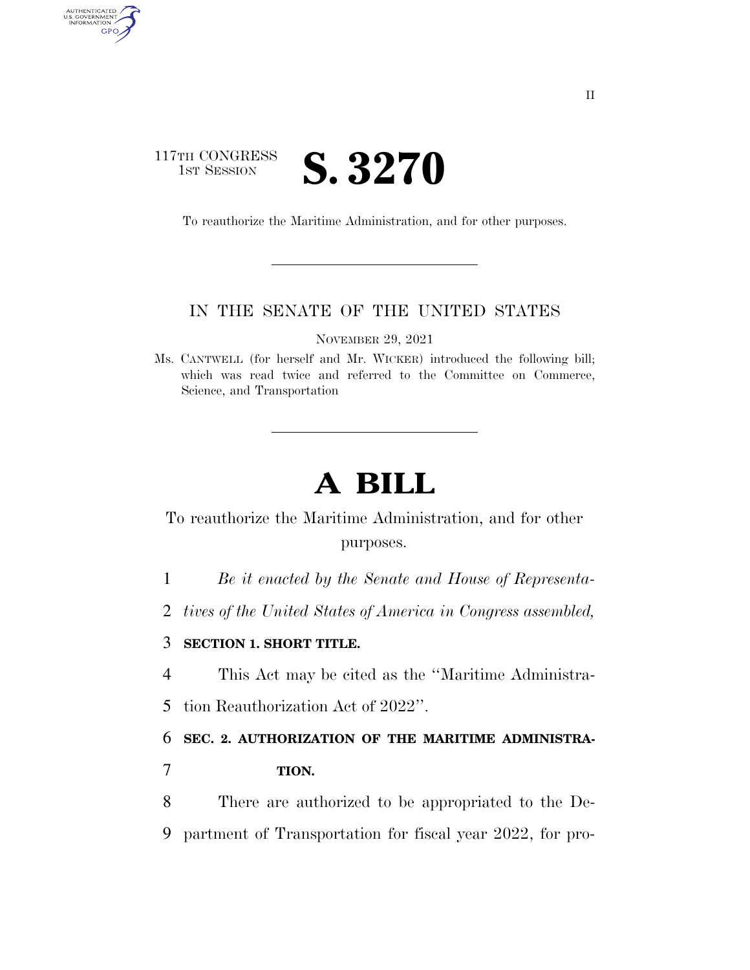### 117TH CONGRESS **IST SESSION S. 3270**

AUTHENTICATED<br>U.S. GOVERNMENT<br>INFORMATION

GPO

To reauthorize the Maritime Administration, and for other purposes.

#### IN THE SENATE OF THE UNITED STATES

NOVEMBER 29, 2021

Ms. CANTWELL (for herself and Mr. WICKER) introduced the following bill; which was read twice and referred to the Committee on Commerce, Science, and Transportation

# **A BILL**

To reauthorize the Maritime Administration, and for other purposes.

1 *Be it enacted by the Senate and House of Representa-*

2 *tives of the United States of America in Congress assembled,* 

#### 3 **SECTION 1. SHORT TITLE.**

4 This Act may be cited as the ''Maritime Administra-

5 tion Reauthorization Act of 2022''.

6 **SEC. 2. AUTHORIZATION OF THE MARITIME ADMINISTRA-**

7 **TION.** 

8 There are authorized to be appropriated to the De-9 partment of Transportation for fiscal year 2022, for pro-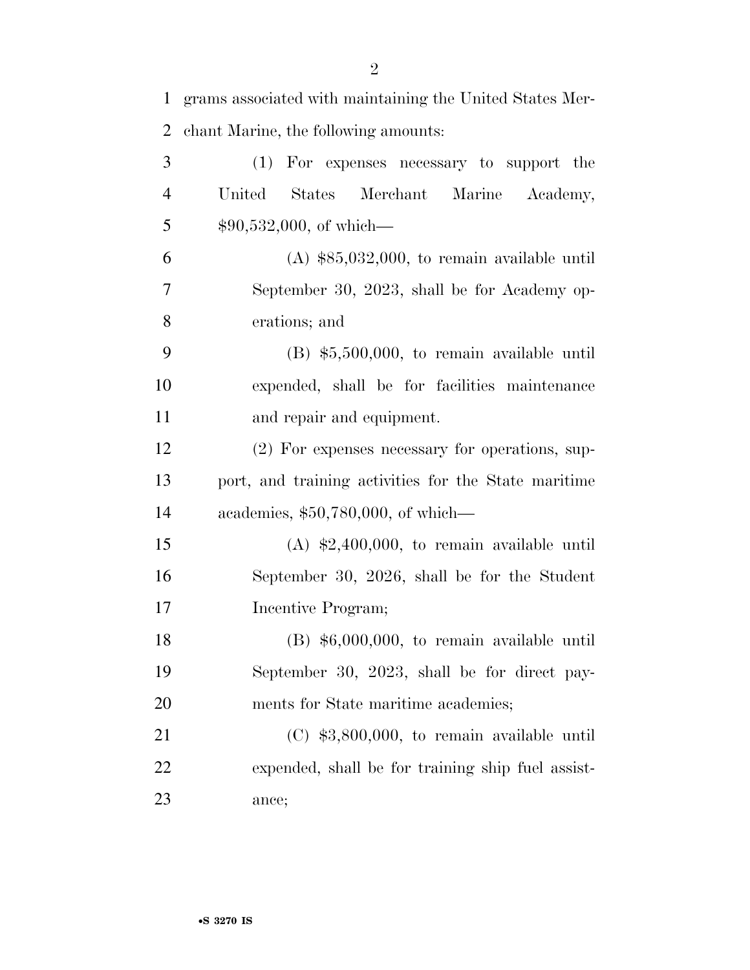| 1  | grams associated with maintaining the United States Mer- |
|----|----------------------------------------------------------|
| 2  | chant Marine, the following amounts:                     |
| 3  | For expenses necessary to support the<br>(1)             |
| 4  | United States<br>Merchant<br>Marine Academy,             |
| 5  | $$90,532,000,$ of which—                                 |
| 6  | $(A)$ \$85,032,000, to remain available until            |
| 7  | September 30, 2023, shall be for Academy op-             |
| 8  | erations; and                                            |
| 9  | $(B)$ \$5,500,000, to remain available until             |
| 10 | expended, shall be for facilities maintenance            |
| 11 | and repair and equipment.                                |
| 12 | (2) For expenses necessary for operations, sup-          |
| 13 | port, and training activities for the State maritime     |
| 14 | academies, $$50,780,000$ , of which—                     |
| 15 | $(A)$ \$2,400,000, to remain available until             |
| 16 | September 30, 2026, shall be for the Student             |
| 17 | Incentive Program;                                       |
| 18 | $(B)$ \$6,000,000, to remain available until             |
| 19 | September 30, 2023, shall be for direct pay-             |
| 20 | ments for State maritime academies;                      |
| 21 | $(C)$ \$3,800,000, to remain available until             |
| 22 | expended, shall be for training ship fuel assist-        |
| 23 | ance;                                                    |
|    |                                                          |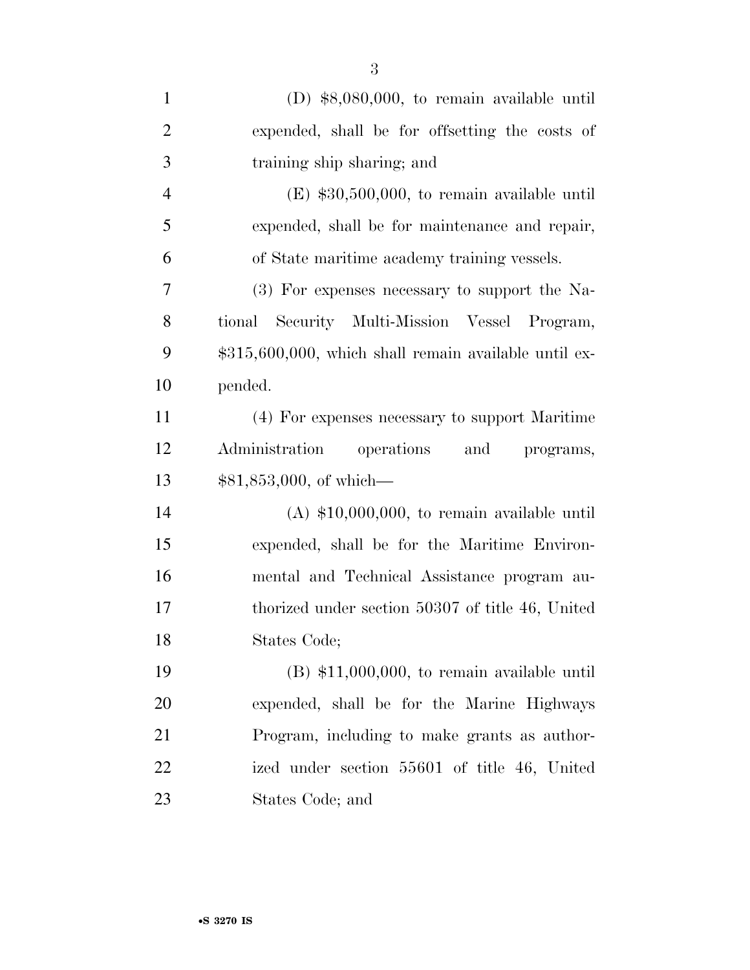| $\mathbf{1}$   | (D) $$8,080,000$ , to remain available until            |
|----------------|---------------------------------------------------------|
| $\overline{2}$ | expended, shall be for offsetting the costs of          |
| 3              | training ship sharing; and                              |
| $\overline{4}$ | $(E)$ \$30,500,000, to remain available until           |
| 5              | expended, shall be for maintenance and repair,          |
| 6              | of State maritime academy training vessels.             |
| 7              | (3) For expenses necessary to support the Na-           |
| 8              | Security Multi-Mission Vessel Program,<br>tional        |
| 9              | $$315,600,000$ , which shall remain available until ex- |
| 10             | pended.                                                 |
| 11             | (4) For expenses necessary to support Maritime          |
| 12             | Administration operations and programs,                 |
| 13             | $$81,853,000, \text{ of which}$                         |
| 14             | $(A)$ \$10,000,000, to remain available until           |
| 15             | expended, shall be for the Maritime Environ-            |
| 16             | mental and Technical Assistance program au-             |
| 17             | thorized under section 50307 of title 46, United        |
| 18             | States Code;                                            |
| 19             | $(B)$ \$11,000,000, to remain available until           |
| 20             | expended, shall be for the Marine Highways              |
| 21             | Program, including to make grants as author-            |
| 22             | ized under section 55601 of title 46, United            |
| 23             | States Code; and                                        |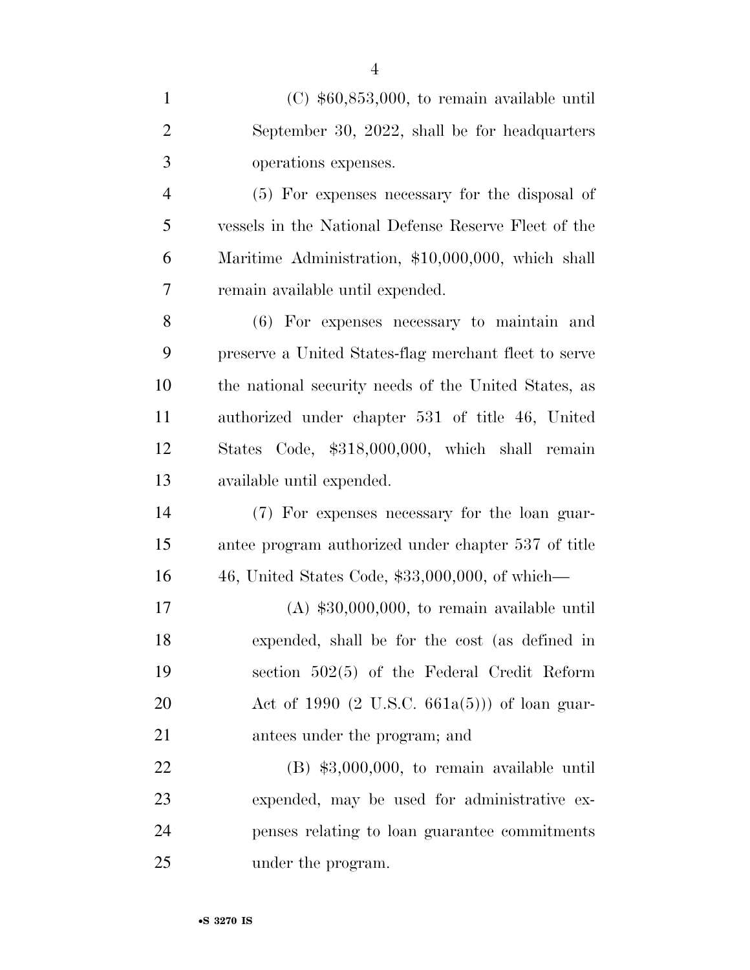| $\mathbf{1}$   | $(C)$ \$60,853,000, to remain available until           |
|----------------|---------------------------------------------------------|
| $\overline{2}$ | September 30, 2022, shall be for headquarters           |
| 3              | operations expenses.                                    |
| $\overline{4}$ | (5) For expenses necessary for the disposal of          |
| 5              | vessels in the National Defense Reserve Fleet of the    |
| 6              | Maritime Administration, \$10,000,000, which shall      |
| 7              | remain available until expended.                        |
| 8              | (6) For expenses necessary to maintain and              |
| 9              | preserve a United States-flag merchant fleet to serve   |
| 10             | the national security needs of the United States, as    |
| 11             | authorized under chapter 531 of title 46, United        |
| 12             | States Code, \$318,000,000, which shall remain          |
| 13             | available until expended.                               |
| 14             | (7) For expenses necessary for the loan guar-           |
| 15             | antee program authorized under chapter 537 of title     |
| 16             | 46, United States Code, \$33,000,000, of which—         |
| 17             | $(A)$ \$30,000,000, to remain available until           |
| 18             | expended, shall be for the cost (as defined in          |
| 19             | section $502(5)$ of the Federal Credit Reform           |
| 20             | Act of 1990 $(2 \text{ U.S.C. } 661a(5))$ of loan guar- |
| 21             | antees under the program; and                           |
| 22             | $(B)$ \$3,000,000, to remain available until            |
| 23             | expended, may be used for administrative ex-            |
| 24             | penses relating to loan guarantee commitments           |
| 25             | under the program.                                      |

•**S 3270 IS**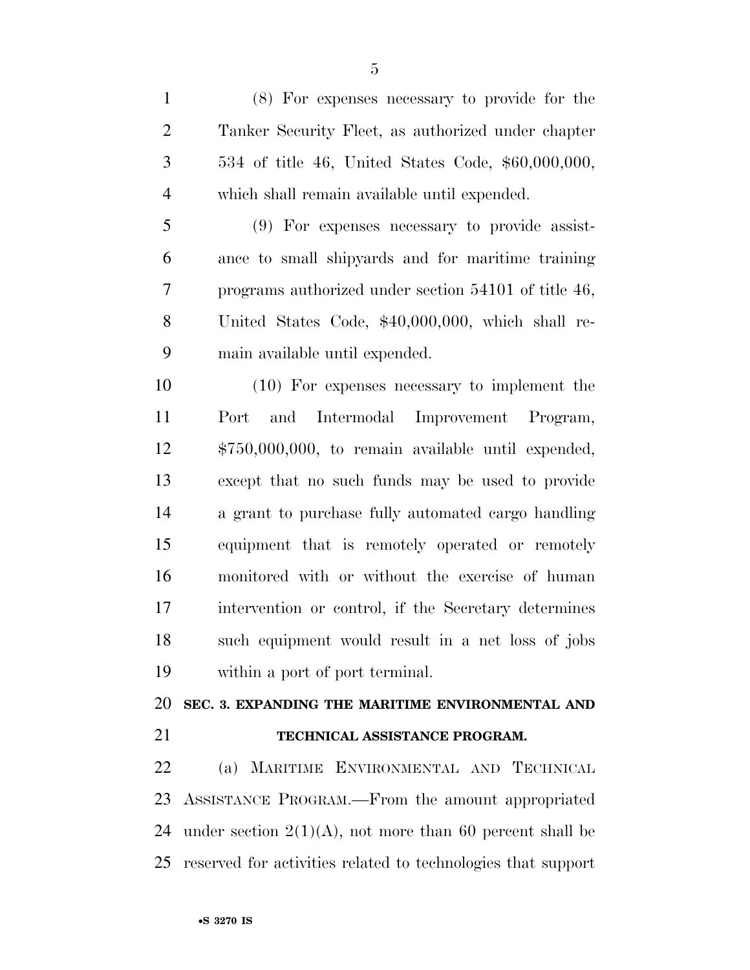| (8) For expenses necessary to provide for the        |
|------------------------------------------------------|
| Tanker Security Fleet, as authorized under chapter   |
| 534 of title 46, United States Code, \$60,000,000,   |
| which shall remain available until expended.         |
| (9) For expenses necessary to provide assist-        |
| ance to small shippards and for maritime training    |
| programs authorized under section 54101 of title 46, |
| United States Code, \$40,000,000, which shall re-    |
| main available until expended.                       |
| $(10)$ For expenses necessary to implement the       |
| and<br>Port<br>Intermodal Improvement Program,       |
| $$750,000,000$ , to remain available until expended, |
| except that no such funds may be used to provide     |
| a grant to purchase fully automated cargo handling   |
| equipment that is remotely operated or remotely      |
| monitored with or without the exercise of human      |
| intervention or control, if the Secretary determines |
| such equipment would result in a net loss of jobs    |
| within a port of port terminal.                      |
|                                                      |
| SEC. 3. EXPANDING THE MARITIME ENVIRONMENTAL AND     |
| TECHNICAL ASSISTANCE PROGRAM.                        |
| (a) MARITIME ENVIRONMENTAL AND TECHNICAL             |
| ASSISTANCE PROGRAM.—From the amount appropriated     |
|                                                      |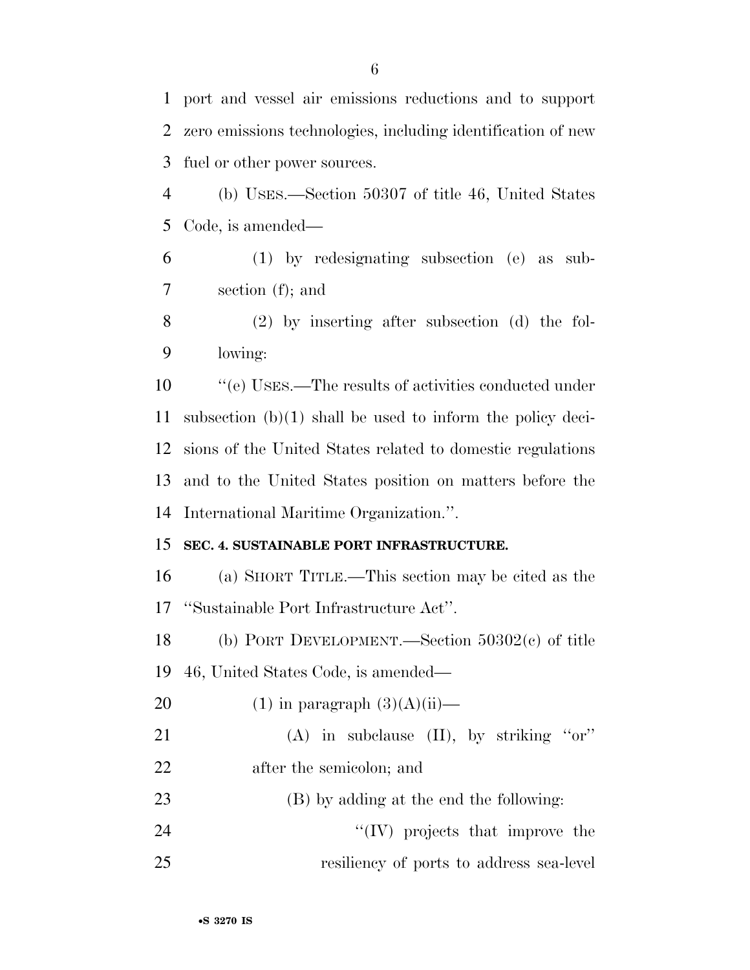port and vessel air emissions reductions and to support zero emissions technologies, including identification of new fuel or other power sources. (b) USES.—Section 50307 of title 46, United States Code, is amended— (1) by redesignating subsection (e) as sub- section (f); and (2) by inserting after subsection (d) the fol- lowing: ''(e) USES.—The results of activities conducted under subsection (b)(1) shall be used to inform the policy deci- sions of the United States related to domestic regulations and to the United States position on matters before the International Maritime Organization.''. **SEC. 4. SUSTAINABLE PORT INFRASTRUCTURE.**  (a) SHORT TITLE.—This section may be cited as the ''Sustainable Port Infrastructure Act''. (b) PORT DEVELOPMENT.—Section 50302(c) of title 46, United States Code, is amended— 20 (1) in paragraph  $(3)(A)(ii)$ — 21 (A) in subclause (II), by striking "or" after the semicolon; and (B) by adding at the end the following: 24 ''(IV) projects that improve the resiliency of ports to address sea-level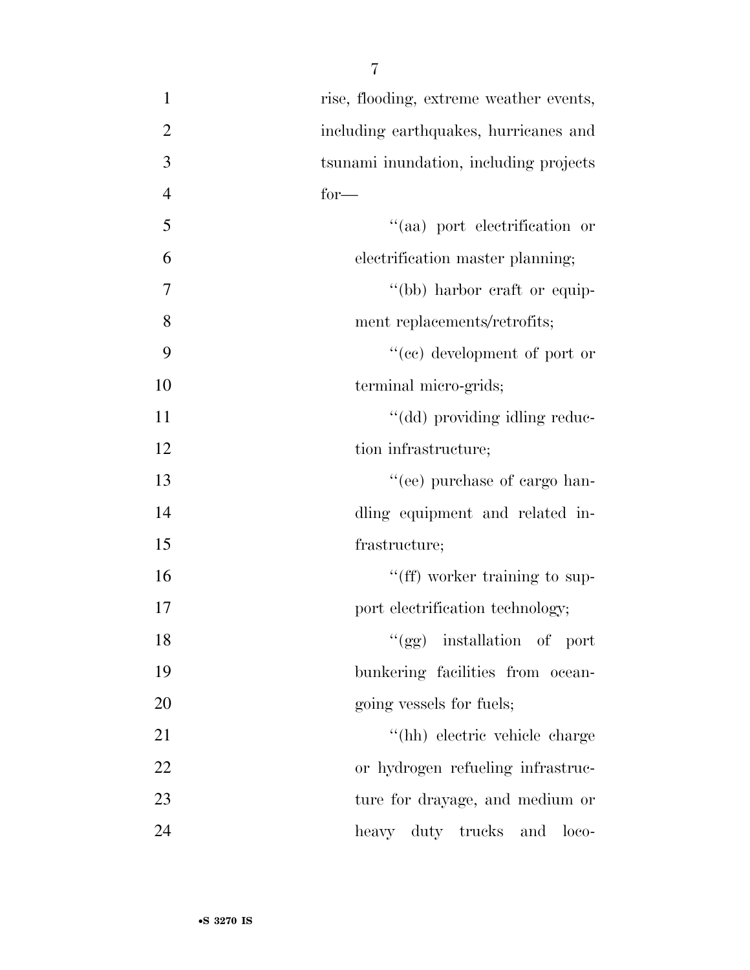| $\mathbf{1}$   | rise, flooding, extreme weather events, |
|----------------|-----------------------------------------|
| $\overline{2}$ | including earthquakes, hurricanes and   |
| 3              | tsunami inundation, including projects  |
| $\overline{4}$ | $for-$                                  |
| 5              | "(aa) port electrification or           |
| 6              | electrification master planning;        |
| 7              | "(bb) harbor craft or equip-            |
| 8              | ment replacements/retrofits;            |
| 9              | "(cc) development of port or            |
| 10             | terminal micro-grids;                   |
| 11             | "(dd) providing idling reduc-           |
| 12             | tion infrastructure;                    |
| 13             | "(ee) purchase of cargo han-            |
| 14             | dling equipment and related in-         |
| 15             | frastructure;                           |
| 16             | "(ff) worker training to sup-           |
| 17             | port electrification technology;        |
| 18             | "(gg) installation of port              |
| 19             | bunkering facilities from ocean-        |
| 20             | going vessels for fuels;                |
| 21             | "(hh) electric vehicle charge           |
| 22             | or hydrogen refueling infrastruc-       |
| 23             | ture for drayage, and medium or         |
| 24             | heavy duty trucks and<br>$loco-$        |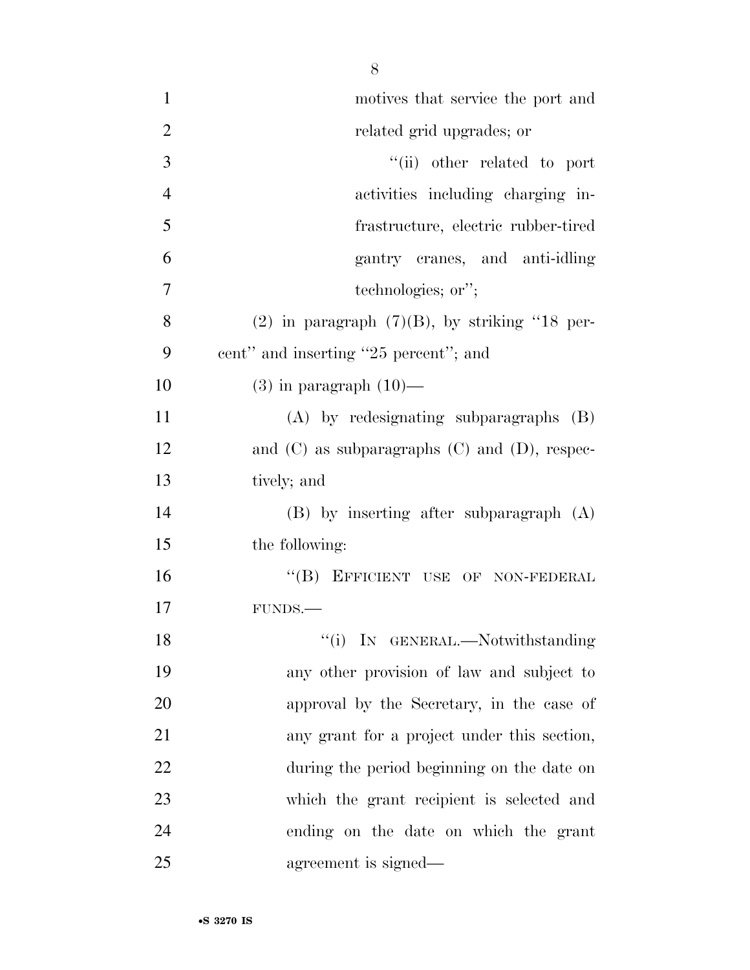| $\mathbf{1}$   | motives that service the port and                    |
|----------------|------------------------------------------------------|
| $\overline{2}$ | related grid upgrades; or                            |
| 3              | "(ii) other related to port                          |
| $\overline{4}$ | activities including charging in-                    |
| 5              | frastructure, electric rubber-tired                  |
| 6              | gantry cranes, and anti-idling                       |
| 7              | technologies; or";                                   |
| 8              | $(2)$ in paragraph $(7)(B)$ , by striking "18 per-   |
| 9              | cent" and inserting "25 percent"; and                |
| 10             | $(3)$ in paragraph $(10)$ —                          |
| 11             | $(A)$ by redesignating subparagraphs $(B)$           |
| 12             | and $(C)$ as subparagraphs $(C)$ and $(D)$ , respec- |
| 13             | tively; and                                          |
| 14             | $(B)$ by inserting after subparagraph $(A)$          |
| 15             | the following:                                       |
| 16             | "(B) EFFICIENT USE OF NON-FEDERAL                    |
| 17             | FUNDS.                                               |
| 18             | "(i) IN GENERAL.—Notwithstanding                     |
| 19             | any other provision of law and subject to            |
| 20             | approval by the Secretary, in the case of            |
| 21             | any grant for a project under this section,          |
| 22             | during the period beginning on the date on           |
| 23             | which the grant recipient is selected and            |
| 24             | ending on the date on which the grant                |
| 25             | agreement is signed—                                 |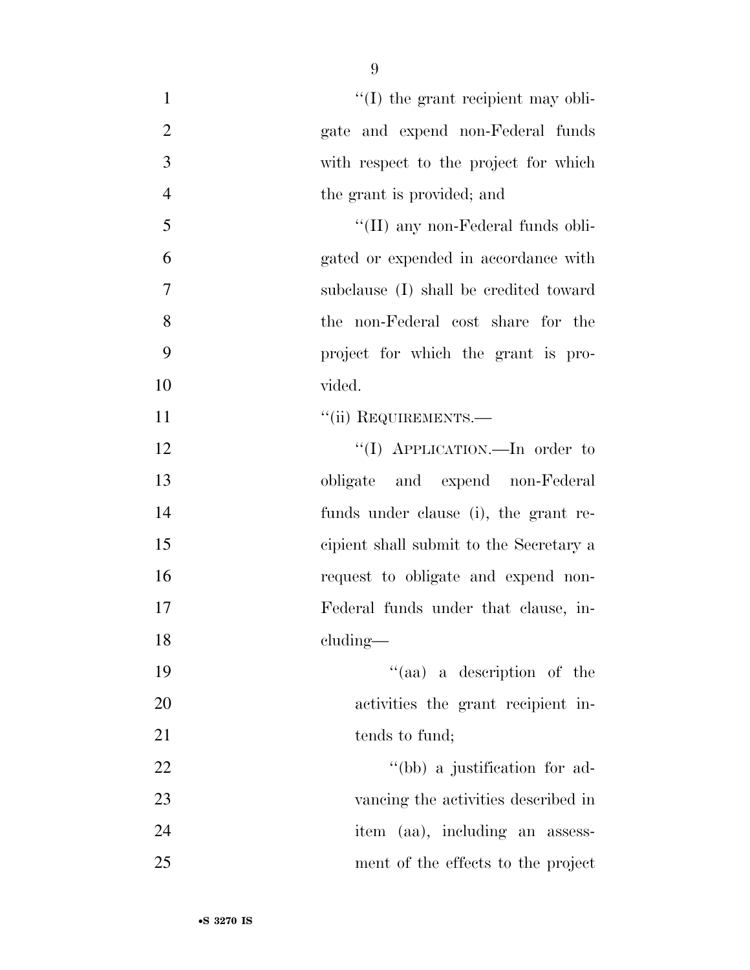| $\mathbf{1}$   | $\lq$ (I) the grant recipient may obli- |
|----------------|-----------------------------------------|
| $\mathbf{2}$   | gate and expend non-Federal funds       |
| $\overline{3}$ | with respect to the project for which   |
| $\overline{4}$ | the grant is provided; and              |
| 5              | "(II) any non-Federal funds obli-       |
| 6              | gated or expended in accordance with    |
| $\overline{7}$ | subclause (I) shall be credited toward  |
| 8              | the non-Federal cost share for the      |
| 9              | project for which the grant is pro-     |
| 10             | vided.                                  |
| 11             | "(ii) REQUIREMENTS.—                    |
| 12             | "(I) APPLICATION.—In order to           |
| 13             | obligate and expend non-Federal         |
| 14             | funds under clause (i), the grant re-   |
| 15             | cipient shall submit to the Secretary a |
| 16             | request to obligate and expend non-     |
| 17             | Federal funds under that clause, in-    |
| 18             | cluding—                                |
| 19             | "(aa) a description of the              |
| 20             | activities the grant recipient in-      |
| 21             | tends to fund;                          |
| 22             | "(bb) a justification for ad-           |
| 23             | vancing the activities described in     |
| 24             | item (aa), including an assess-         |
| 25             | ment of the effects to the project      |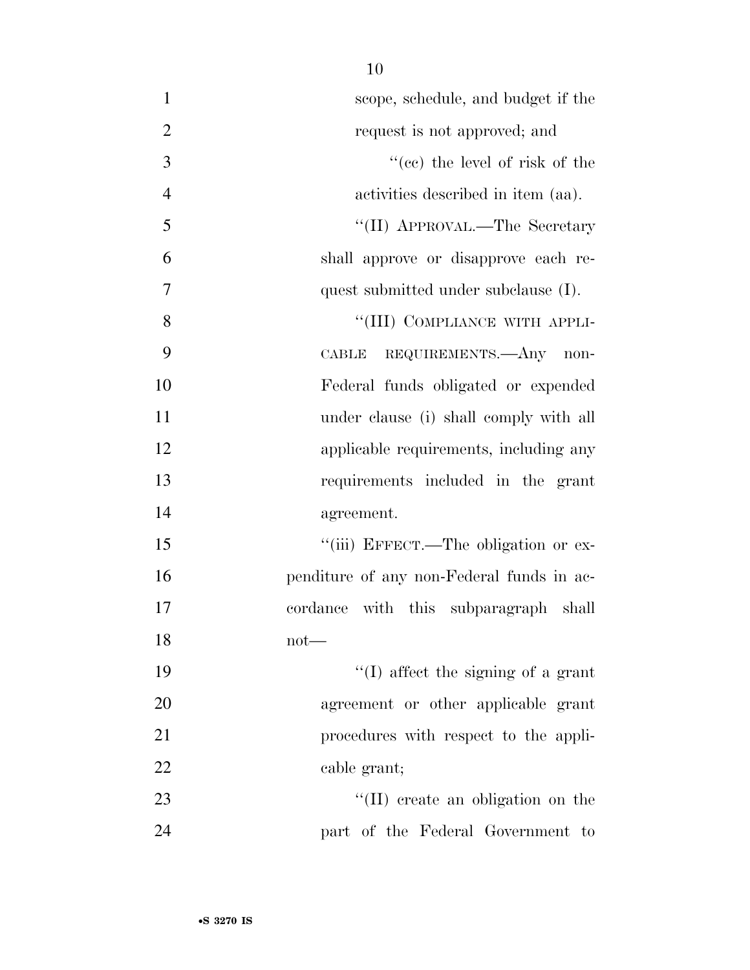| $\mathbf{1}$   | scope, schedule, and budget if the        |
|----------------|-------------------------------------------|
| $\overline{2}$ | request is not approved; and              |
| 3              | $f''(ce)$ the level of risk of the        |
| $\overline{4}$ | activities described in item (aa).        |
| 5              | "(II) APPROVAL.—The Secretary             |
| 6              | shall approve or disapprove each re-      |
| $\overline{7}$ | quest submitted under subclause (I).      |
| 8              | "(III) COMPLIANCE WITH APPLI-             |
| 9              | CABLE REQUIREMENTS.- Any non-             |
| 10             | Federal funds obligated or expended       |
| 11             | under clause (i) shall comply with all    |
| 12             | applicable requirements, including any    |
| 13             | requirements included in the grant        |
| 14             | agreement.                                |
| 15             | "(iii) EFFECT.—The obligation or ex-      |
| 16             | penditure of any non-Federal funds in ac- |
| 17             | cordance with this subparagraph shall     |
| 18             | $not$ —                                   |
| 19             | $\lq\lq$ affect the signing of a grant    |
| 20             | agreement or other applicable grant       |
| 21             | procedures with respect to the appli-     |
| 22             | cable grant;                              |
| 23             | $\lq\lq$ (II) create an obligation on the |
| 24             | part of the Federal Government to         |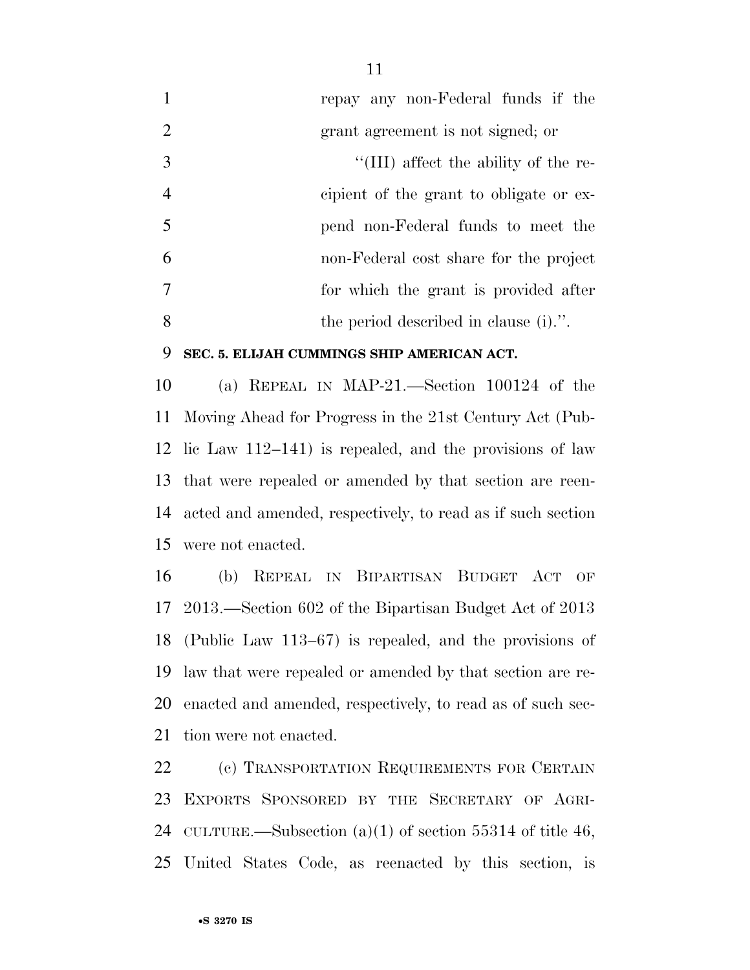repay any non-Federal funds if the grant agreement is not signed; or  $\frac{1}{2}$  (III) affect the ability of the re- cipient of the grant to obligate or ex- pend non-Federal funds to meet the non-Federal cost share for the project for which the grant is provided after the period described in clause (i).''.

#### **SEC. 5. ELIJAH CUMMINGS SHIP AMERICAN ACT.**

 (a) REPEAL IN MAP-21.—Section 100124 of the Moving Ahead for Progress in the 21st Century Act (Pub- lic Law 112–141) is repealed, and the provisions of law that were repealed or amended by that section are reen- acted and amended, respectively, to read as if such section were not enacted.

 (b) REPEAL IN BIPARTISAN BUDGET ACT OF 2013.—Section 602 of the Bipartisan Budget Act of 2013 (Public Law 113–67) is repealed, and the provisions of law that were repealed or amended by that section are re- enacted and amended, respectively, to read as of such sec-tion were not enacted.

22 (c) TRANSPORTATION REQUIREMENTS FOR CERTAIN EXPORTS SPONSORED BY THE SECRETARY OF AGRI-24 CULTURE.—Subsection  $(a)(1)$  of section 55314 of title 46, United States Code, as reenacted by this section, is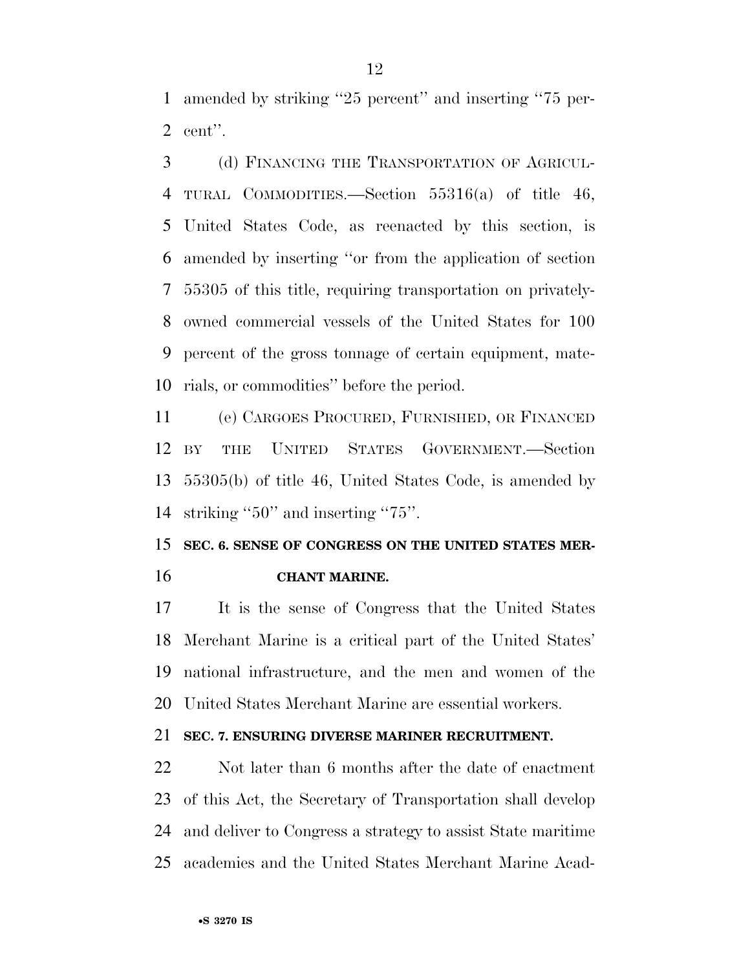amended by striking ''25 percent'' and inserting ''75 per-cent''.

 (d) FINANCING THE TRANSPORTATION OF AGRICUL- TURAL COMMODITIES.—Section 55316(a) of title 46, United States Code, as reenacted by this section, is amended by inserting ''or from the application of section 55305 of this title, requiring transportation on privately- owned commercial vessels of the United States for 100 percent of the gross tonnage of certain equipment, mate-rials, or commodities'' before the period.

 (e) CARGOES PROCURED, FURNISHED, OR FINANCED BY THE UNITED STATES GOVERNMENT.—Section 55305(b) of title 46, United States Code, is amended by striking ''50'' and inserting ''75''.

 **SEC. 6. SENSE OF CONGRESS ON THE UNITED STATES MER-CHANT MARINE.** 

 It is the sense of Congress that the United States Merchant Marine is a critical part of the United States' national infrastructure, and the men and women of the United States Merchant Marine are essential workers.

#### **SEC. 7. ENSURING DIVERSE MARINER RECRUITMENT.**

 Not later than 6 months after the date of enactment of this Act, the Secretary of Transportation shall develop and deliver to Congress a strategy to assist State maritime academies and the United States Merchant Marine Acad-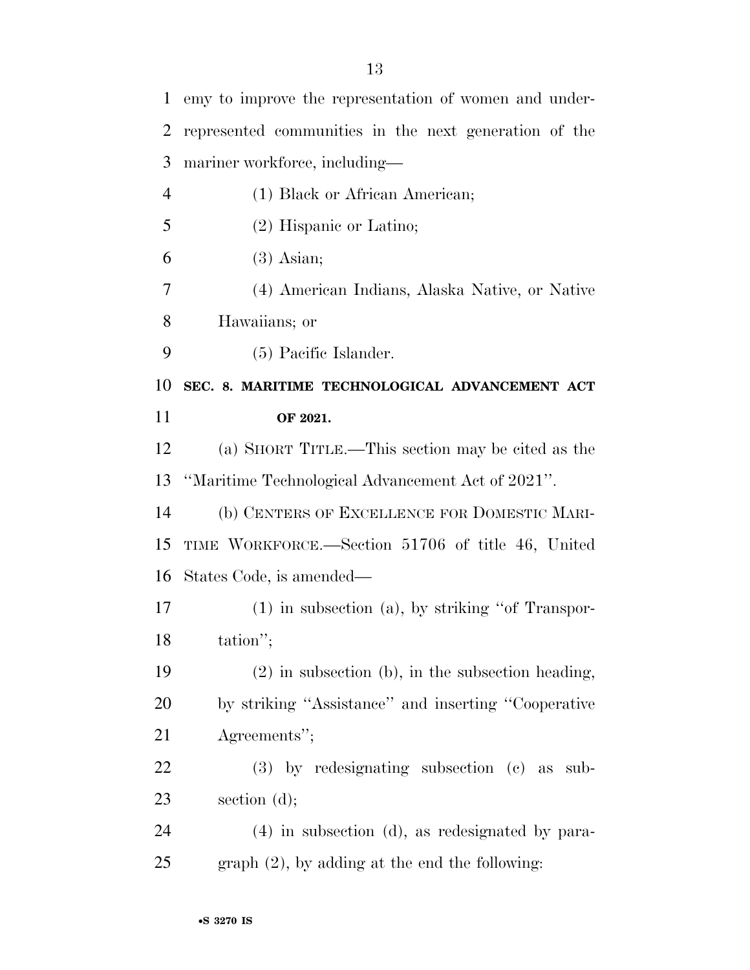| $\mathbf{1}$   | emy to improve the representation of women and under- |
|----------------|-------------------------------------------------------|
| $\overline{2}$ | represented communities in the next generation of the |
| 3              | mariner workforce, including—                         |
| $\overline{4}$ | (1) Black or African American;                        |
| 5              | $(2)$ Hispanic or Latino;                             |
| 6              | $(3)$ Asian;                                          |
| 7              | (4) American Indians, Alaska Native, or Native        |
| 8              | Hawaiians; or                                         |
| 9              | (5) Pacific Islander.                                 |
| 10             | SEC. 8. MARITIME TECHNOLOGICAL ADVANCEMENT ACT        |
| 11             | OF 2021.                                              |
| 12             | (a) SHORT TITLE.—This section may be cited as the     |
| 13             | "Maritime Technological Advancement Act of 2021".     |
| 14             | (b) CENTERS OF EXCELLENCE FOR DOMESTIC MARI-          |
| 15             | TIME WORKFORCE.—Section 51706 of title 46, United     |
| 16             | States Code, is amended—                              |
| 17             | $(1)$ in subsection $(a)$ , by striking "of Transpor- |
| 18             | tation";                                              |
| 19             | $(2)$ in subsection (b), in the subsection heading,   |
| 20             | by striking "Assistance" and inserting "Cooperative   |
| 21             | Agreements";                                          |
| 22             | $(3)$ by redesignating subsection $(e)$ as<br>sub-    |
| 23             | section $(d)$ ;                                       |
| 24             | $(4)$ in subsection $(d)$ , as redesignated by para-  |
|                |                                                       |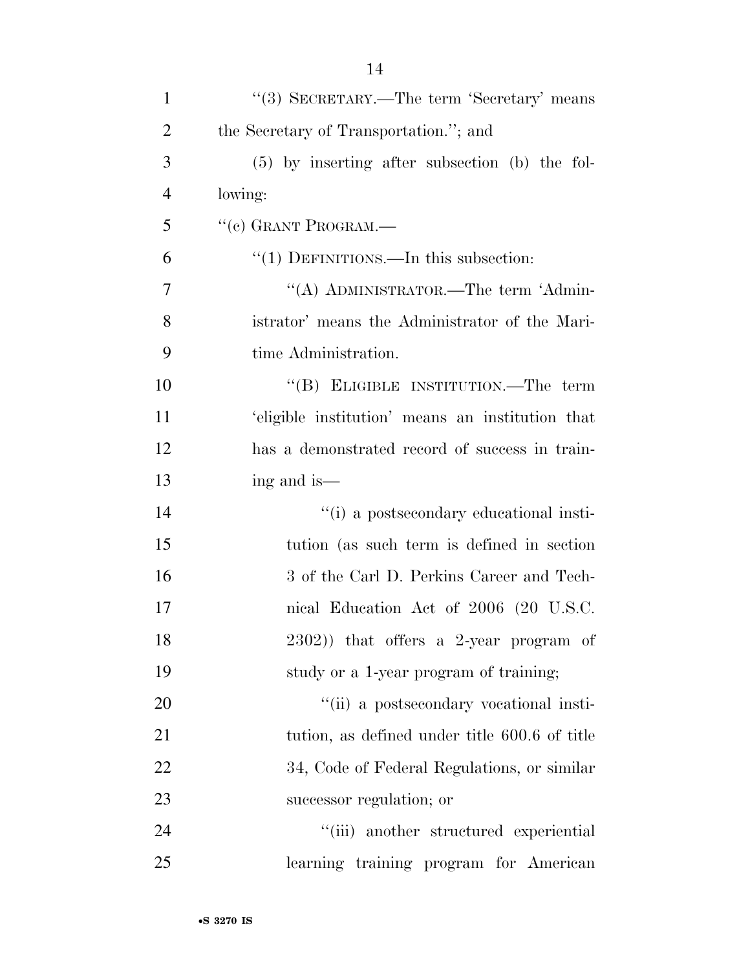| $\mathbf{1}$   | "(3) SECRETARY.—The term 'Secretary' means       |
|----------------|--------------------------------------------------|
| $\overline{2}$ | the Secretary of Transportation."; and           |
| 3              | $(5)$ by inserting after subsection (b) the fol- |
| $\overline{4}$ | lowing:                                          |
| 5              | "(c) GRANT PROGRAM.—                             |
| 6              | $"(1)$ DEFINITIONS.—In this subsection:          |
| 7              | "(A) ADMINISTRATOR.—The term 'Admin-             |
| 8              | istrator' means the Administrator of the Mari-   |
| 9              | time Administration.                             |
| 10             | "(B) ELIGIBLE INSTITUTION.—The term              |
| 11             | 'eligible institution' means an institution that |
| 12             | has a demonstrated record of success in train-   |
| 13             | ing and is—                                      |
| 14             | "(i) a postsecondary educational insti-          |
| 15             | tution (as such term is defined in section)      |
| 16             | 3 of the Carl D. Perkins Career and Tech-        |
| 17             | nical Education Act of 2006 (20 U.S.C.           |
| 18             | 2302)) that offers a 2-year program of           |
| 19             | study or a 1-year program of training;           |
| 20             | "(ii) a postsecondary vocational insti-          |
| 21             | tution, as defined under title 600.6 of title    |
| 22             | 34, Code of Federal Regulations, or similar      |
| 23             | successor regulation; or                         |
| 24             | "(iii) another structured experiential           |
| 25             | learning training program for American           |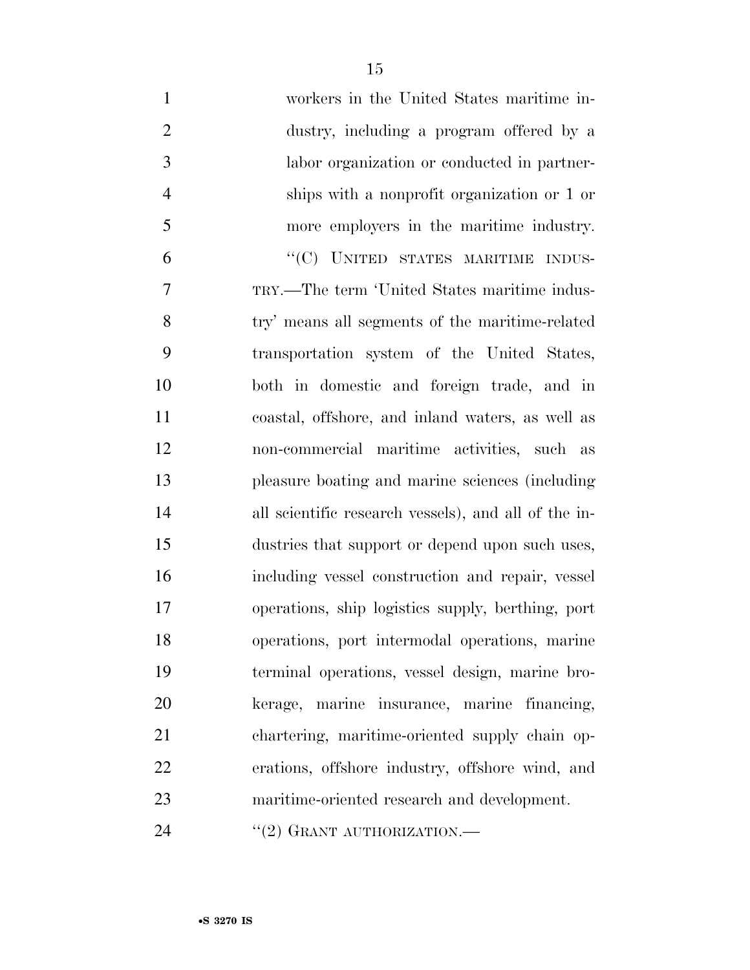| $\mathbf{1}$   | workers in the United States maritime in-            |
|----------------|------------------------------------------------------|
| $\overline{2}$ | dustry, including a program offered by a             |
| 3              | labor organization or conducted in partner-          |
| $\overline{4}$ | ships with a nonprofit organization or 1 or          |
| 5              | more employers in the maritime industry.             |
| 6              | "(C) UNITED STATES MARITIME INDUS-                   |
| 7              | TRY.—The term 'United States maritime indus-         |
| 8              | try' means all segments of the maritime-related      |
| 9              | transportation system of the United States,          |
| 10             | both in domestic and foreign trade, and in           |
| 11             | coastal, offshore, and inland waters, as well as     |
| 12             | non-commercial maritime activities, such as          |
| 13             | pleasure boating and marine sciences (including      |
| 14             | all scientific research vessels), and all of the in- |
| 15             | dustries that support or depend upon such uses,      |
| 16             | including vessel construction and repair, vessel     |
| 17             | operations, ship logistics supply, berthing, port    |
| 18             | operations, port intermodal operations, marine       |
| 19             | terminal operations, vessel design, marine bro-      |
| 20             | kerage, marine insurance, marine financing,          |
| 21             | chartering, maritime-oriented supply chain op-       |
| 22             | erations, offshore industry, offshore wind, and      |
| 23             | maritime-oriented research and development.          |
| 24             | "(2) GRANT AUTHORIZATION.—                           |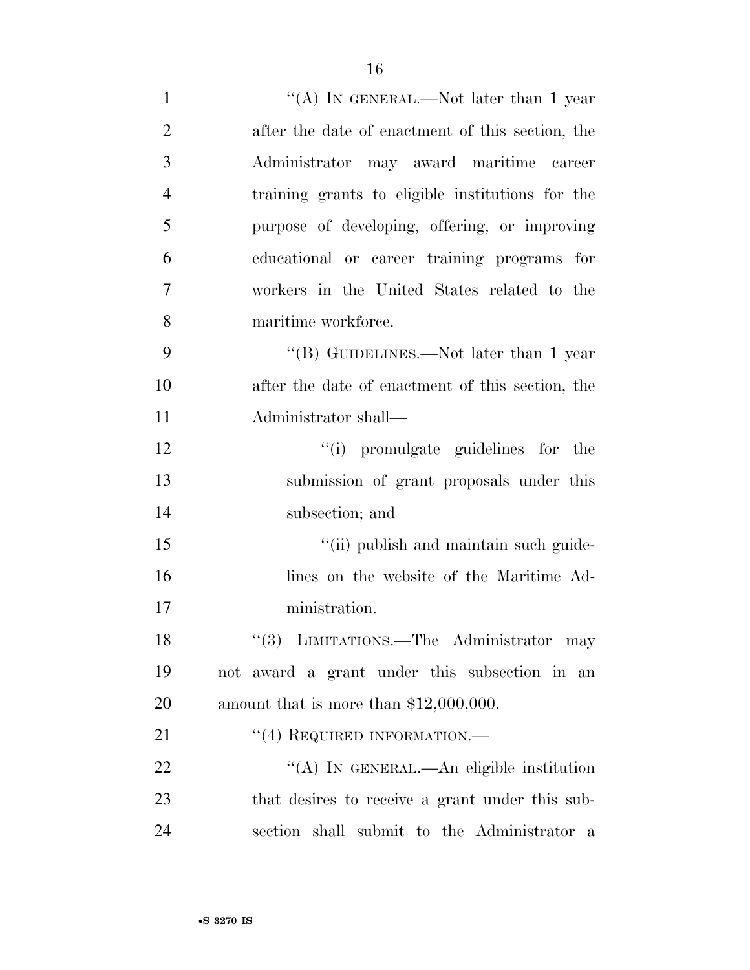| $\mathbf{1}$   | "(A) IN GENERAL.—Not later than 1 year           |
|----------------|--------------------------------------------------|
| $\overline{2}$ | after the date of enactment of this section, the |
| 3              | Administrator may award maritime career          |
| $\overline{4}$ | training grants to eligible institutions for the |
| 5              | purpose of developing, offering, or improving    |
| 6              | educational or career training programs for      |
| 7              | workers in the United States related to the      |
| 8              | maritime workforce.                              |
| 9              | "(B) GUIDELINES.—Not later than 1 year           |
| 10             | after the date of enactment of this section, the |
| 11             | Administrator shall—                             |
| 12             | "(i) promulgate guidelines for the               |
| 13             | submission of grant proposals under this         |
| 14             | subsection; and                                  |
| 15             | "(ii) publish and maintain such guide-           |
| 16             | lines on the website of the Maritime Ad-         |
| 17             | ministration.                                    |
| 18             | "(3) LIMITATIONS.—The Administrator may          |
| 19             | not award a grant under this subsection in an    |
| 20             | amount that is more than $$12,000,000$ .         |
| 21             | $``(4)$ REQUIRED INFORMATION.—                   |
| 22             | "(A) IN GENERAL.—An eligible institution         |
| 23             | that desires to receive a grant under this sub-  |
| 24             | section shall submit to the Administrator a      |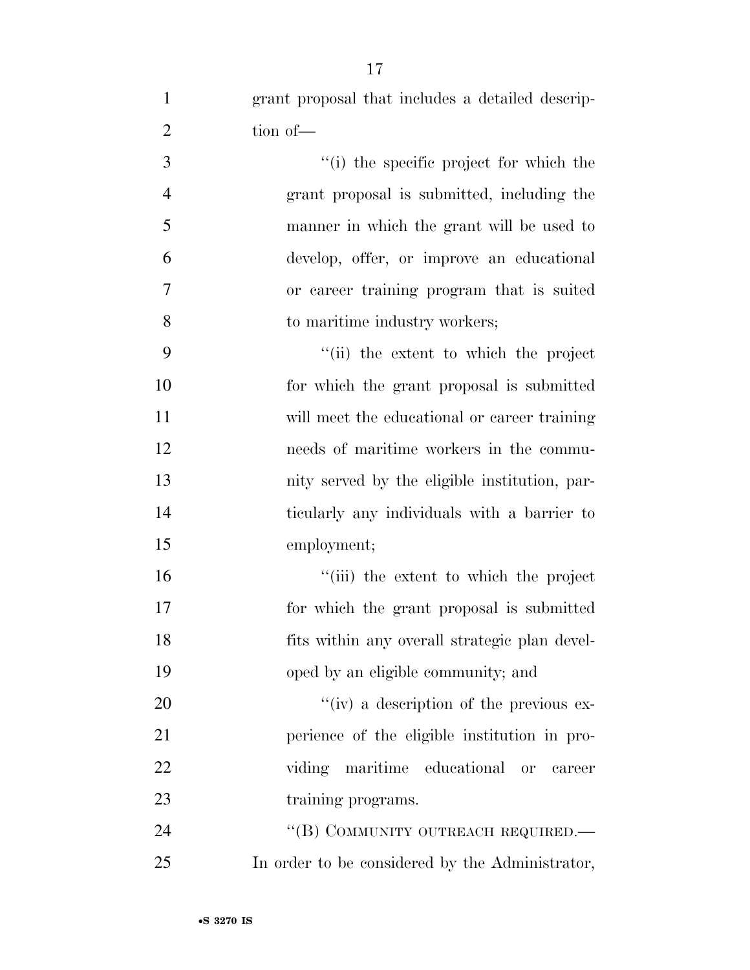grant proposal that includes a detailed descrip-2 tion of — ''(i) the specific project for which the grant proposal is submitted, including the manner in which the grant will be used to develop, offer, or improve an educational or career training program that is suited 8 to maritime industry workers; ''(ii) the extent to which the project for which the grant proposal is submitted will meet the educational or career training needs of maritime workers in the commu- nity served by the eligible institution, par-ticularly any individuals with a barrier to

 $\frac{1}{10}$  the extent to which the project for which the grant proposal is submitted fits within any overall strategic plan devel-oped by an eligible community; and

 $\frac{u}{v}$  iv) a description of the previous ex- perience of the eligible institution in pro- viding maritime educational or career 23 training programs.

24 "(B) COMMUNITY OUTREACH REQUIRED.— In order to be considered by the Administrator,

employment;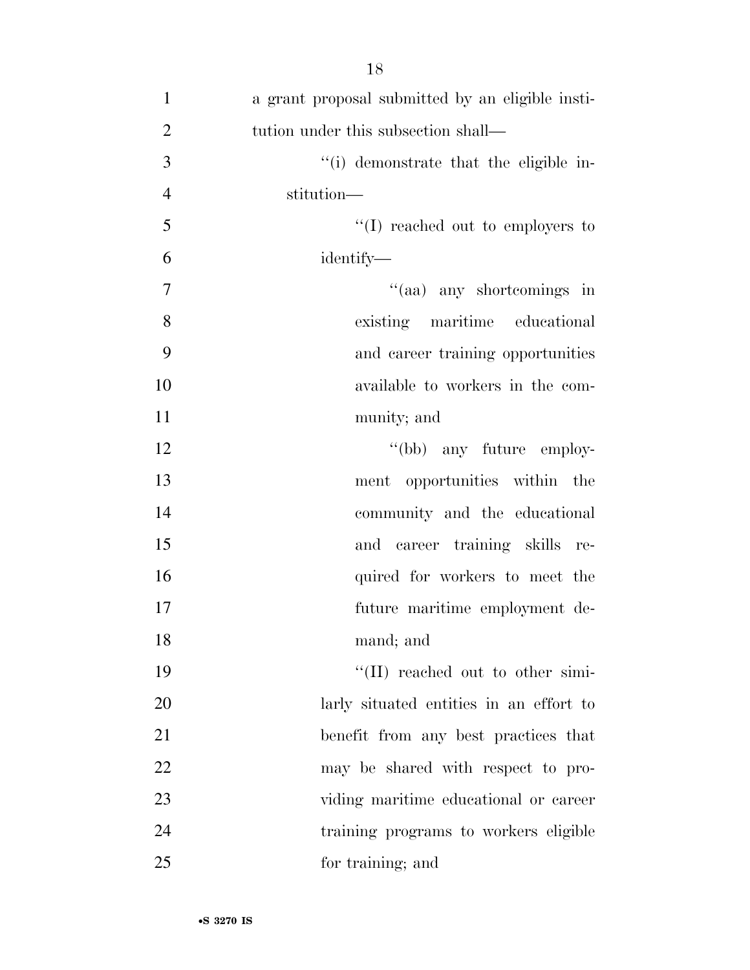| $\mathbf{1}$   | a grant proposal submitted by an eligible insti- |
|----------------|--------------------------------------------------|
| $\overline{2}$ | tution under this subsection shall—              |
| 3              | "(i) demonstrate that the eligible in-           |
| $\overline{4}$ | stitution-                                       |
| 5              | $\lq\lq$ (I) reached out to employers to         |
| 6              | identify—                                        |
| $\tau$         | "(aa) any shortcomings in                        |
| 8              | existing maritime educational                    |
| 9              | and career training opportunities                |
| 10             | available to workers in the com-                 |
| 11             | munity; and                                      |
| 12             | "(bb) any future employ-                         |
| 13             | ment opportunities within the                    |
| 14             | community and the educational                    |
| 15             | and career training skills re-                   |
| 16             | quired for workers to meet the                   |
| 17             | future maritime employment de-                   |
| 18             | mand; and                                        |
| 19             | "(II) reached out to other simi-                 |
| 20             | larly situated entities in an effort to          |
| 21             | benefit from any best practices that             |
| 22             | may be shared with respect to pro-               |
| 23             | viding maritime educational or career            |
| 24             | training programs to workers eligible            |
| 25             | for training; and                                |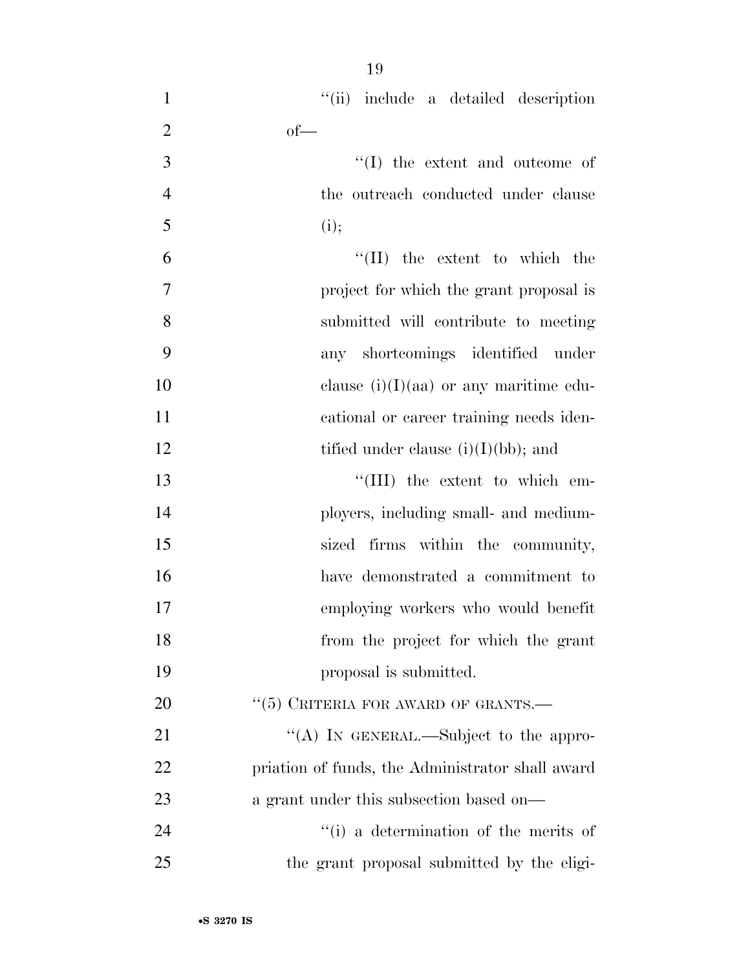| $\mathbf{1}$   | "(ii) include a detailed description             |
|----------------|--------------------------------------------------|
| $\overline{2}$ | $of$ —                                           |
| 3              | $\lq\lq$ (I) the extent and outcome of           |
| $\overline{4}$ | the outreach conducted under clause              |
| 5              | (i);                                             |
| 6              | $\lq\lq$ (II) the extent to which the            |
| 7              | project for which the grant proposal is          |
| 8              | submitted will contribute to meeting             |
| 9              | any shortcomings identified under                |
| 10             | clause $(i)(I)(aa)$ or any maritime edu-         |
| 11             | cational or career training needs iden-          |
| 12             | tified under clause $(i)(I)(bb)$ ; and           |
| 13             | "(III) the extent to which em-                   |
| 14             | ployers, including small- and medium-            |
| 15             | sized firms within the community,                |
| 16             | have demonstrated a commitment to                |
| 17             | employing workers who would benefit              |
| 18             | from the project for which the grant             |
| 19             | proposal is submitted.                           |
| 20             | $``(5)$ CRITERIA FOR AWARD OF GRANTS.—           |
| 21             | "(A) IN GENERAL.—Subject to the appro-           |
| 22             | priation of funds, the Administrator shall award |
| 23             | a grant under this subsection based on—          |
| 24             | "(i) a determination of the merits of            |
| 25             | the grant proposal submitted by the eligi-       |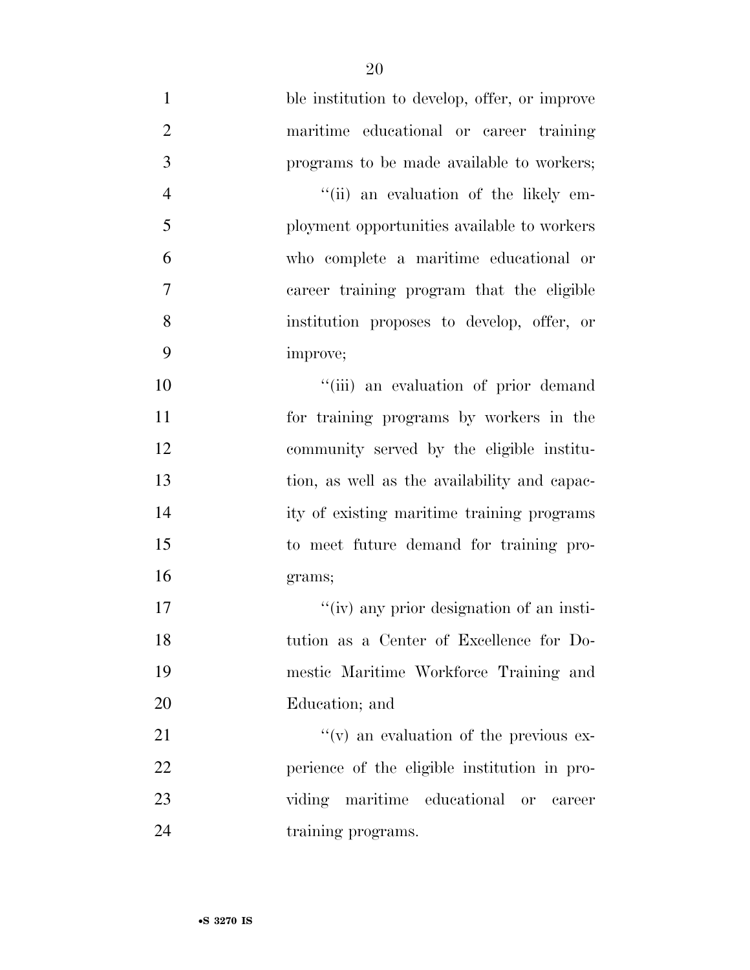ble institution to develop, offer, or improve maritime educational or career training programs to be made available to workers; ''(ii) an evaluation of the likely em- ployment opportunities available to workers who complete a maritime educational or career training program that the eligible institution proposes to develop, offer, or improve;  $\frac{1}{10}$  an evaluation of prior demand for training programs by workers in the community served by the eligible institu- tion, as well as the availability and capac- ity of existing maritime training programs to meet future demand for training pro- grams; 17 ''(iv) any prior designation of an insti- tution as a Center of Excellence for Do- mestic Maritime Workforce Training and Education; and  $''(v)$  an evaluation of the previous ex-

 perience of the eligible institution in pro- viding maritime educational or career 24 training programs.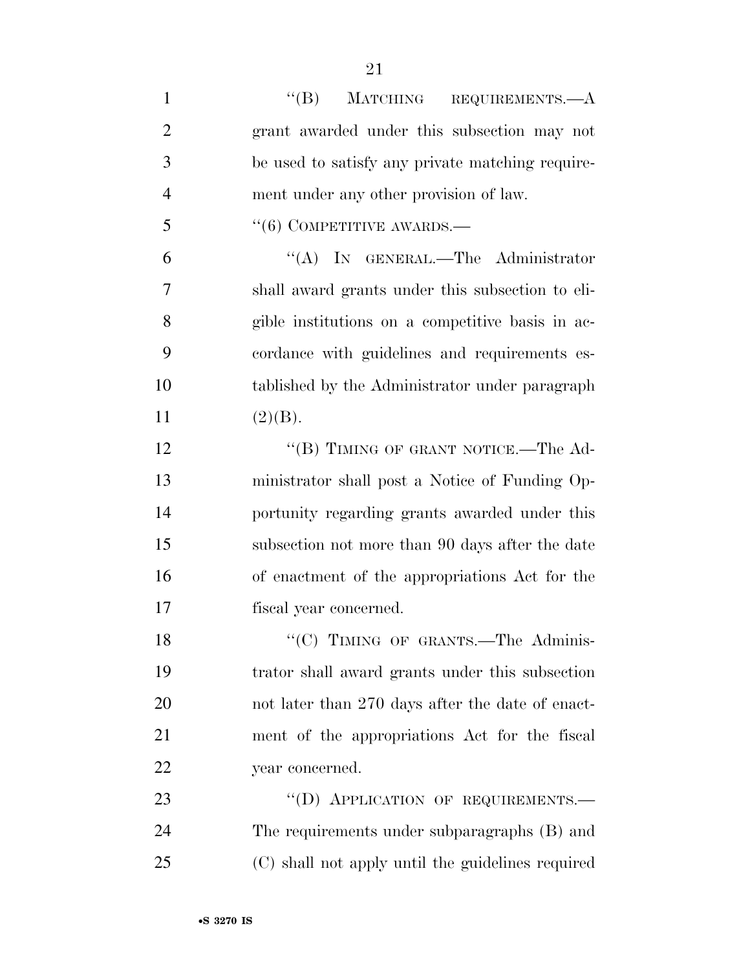| $\mathbf{1}$   | $``(B)$ MATCHING REQUIREMENTS.—A                  |
|----------------|---------------------------------------------------|
| $\overline{2}$ | grant awarded under this subsection may not       |
| 3              | be used to satisfy any private matching require-  |
| $\overline{4}$ | ment under any other provision of law.            |
| 5              | $(6)$ COMPETITIVE AWARDS.—                        |
| 6              | "(A) IN GENERAL.—The Administrator                |
| 7              | shall award grants under this subsection to eli-  |
| 8              | gible institutions on a competitive basis in ac-  |
| 9              | cordance with guidelines and requirements es-     |
| 10             | tablished by the Administrator under paragraph    |
| 11             | (2)(B).                                           |
| 12             | "(B) TIMING OF GRANT NOTICE.—The Ad-              |
| 13             | ministrator shall post a Notice of Funding Op-    |
| 14             | portunity regarding grants awarded under this     |
| 15             | subsection not more than 90 days after the date   |
| 16             | of enactment of the appropriations Act for the    |
| 17             | fiscal year concerned.                            |
| 18             | "(C) TIMING OF GRANTS.-The Adminis-               |
| 19             | trator shall award grants under this subsection   |
| 20             | not later than 270 days after the date of enact-  |
| 21             | ment of the appropriations Act for the fiscal     |
| 22             | year concerned.                                   |
| 23             | "(D) APPLICATION OF REQUIREMENTS.-                |
| 24             | The requirements under subparagraphs (B) and      |
| 25             | (C) shall not apply until the guidelines required |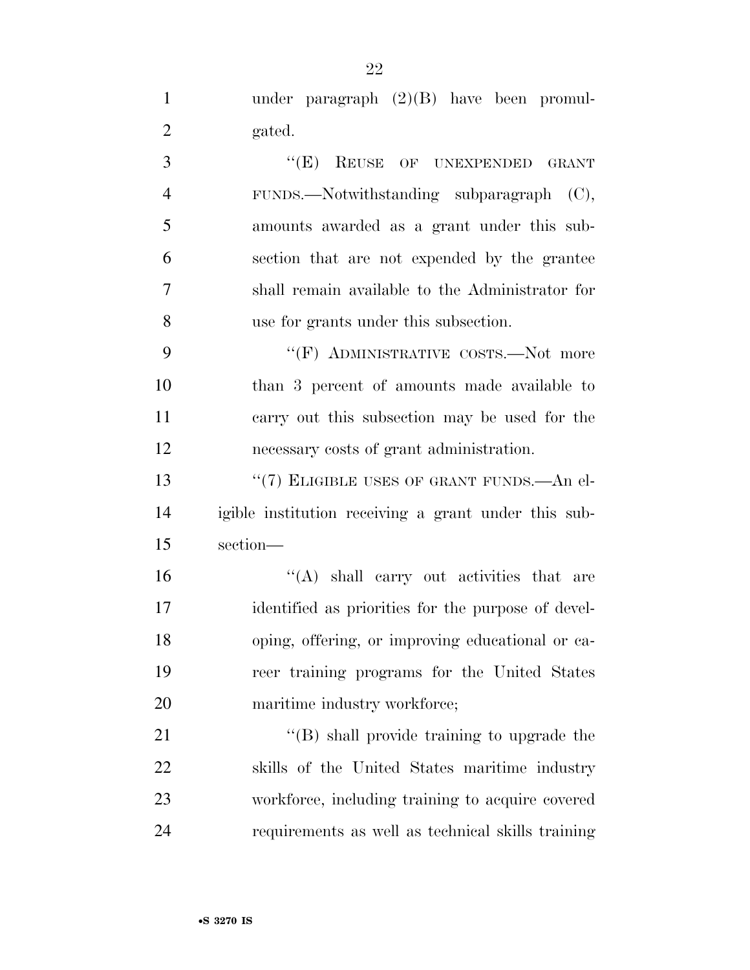under paragraph (2)(B) have been promul-gated.

3 "(E) REUSE OF UNEXPENDED GRANT FUNDS.—Notwithstanding subparagraph (C), amounts awarded as a grant under this sub- section that are not expended by the grantee shall remain available to the Administrator for use for grants under this subsection.

9 "'(F) ADMINISTRATIVE COSTS.—Not more than 3 percent of amounts made available to carry out this subsection may be used for the necessary costs of grant administration.

13 "(7) ELIGIBLE USES OF GRANT FUNDS.—An el- igible institution receiving a grant under this sub-section—

 ''(A) shall carry out activities that are identified as priorities for the purpose of devel- oping, offering, or improving educational or ca- reer training programs for the United States 20 maritime industry workforce;

21 ''(B) shall provide training to upgrade the skills of the United States maritime industry workforce, including training to acquire covered requirements as well as technical skills training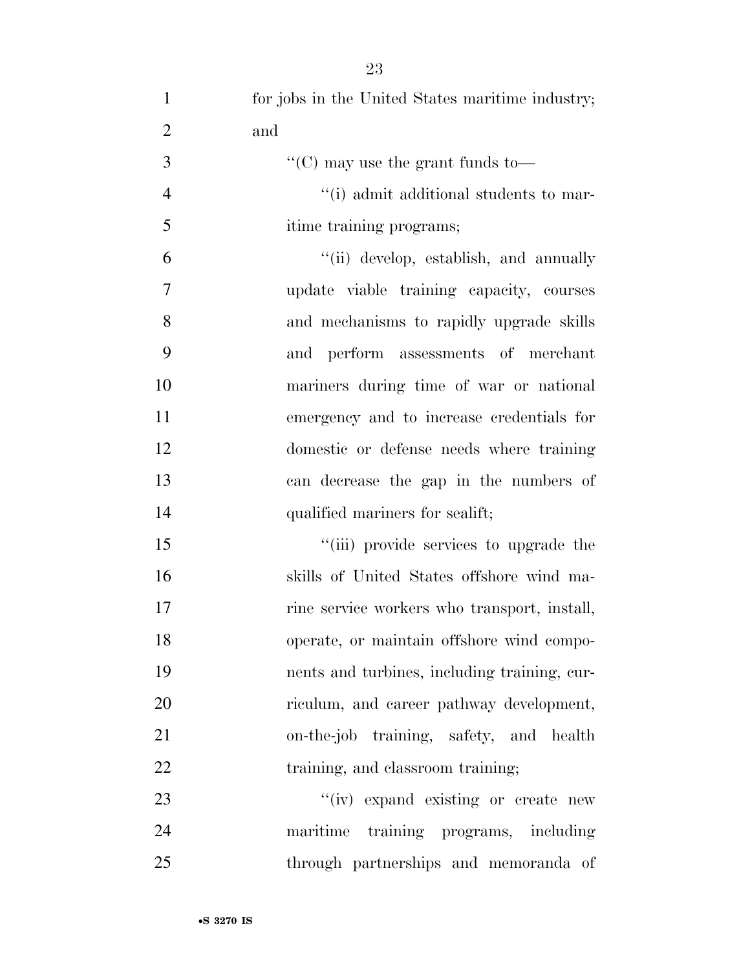| $\mathbf{1}$   | for jobs in the United States maritime industry; |
|----------------|--------------------------------------------------|
| $\overline{2}$ | and                                              |
| 3              | "(C) may use the grant funds to-                 |
| $\overline{4}$ | "(i) admit additional students to mar-           |
| 5              | itime training programs;                         |
| 6              | "(ii) develop, establish, and annually           |
| 7              | update viable training capacity, courses         |
| 8              | and mechanisms to rapidly upgrade skills         |
| 9              | and perform assessments of merchant              |
| 10             | mariners during time of war or national          |
| 11             | emergency and to increase credentials for        |
| 12             | domestic or defense needs where training         |
| 13             | can decrease the gap in the numbers of           |
| 14             | qualified mariners for sealift;                  |
| 15             | "(iii) provide services to upgrade the           |
| 16             | skills of United States offshore wind ma-        |
| 17             | rine service workers who transport, install,     |
| 18             | operate, or maintain offshore wind compo-        |
| 19             | nents and turbines, including training, cur-     |
| 20             | riculum, and career pathway development,         |
| 21             | on-the-job training, safety, and health          |
| 22             | training, and classroom training;                |
| 23             | "(iv) expand existing or create new              |
| 24             | maritime training programs, including            |

through partnerships and memoranda of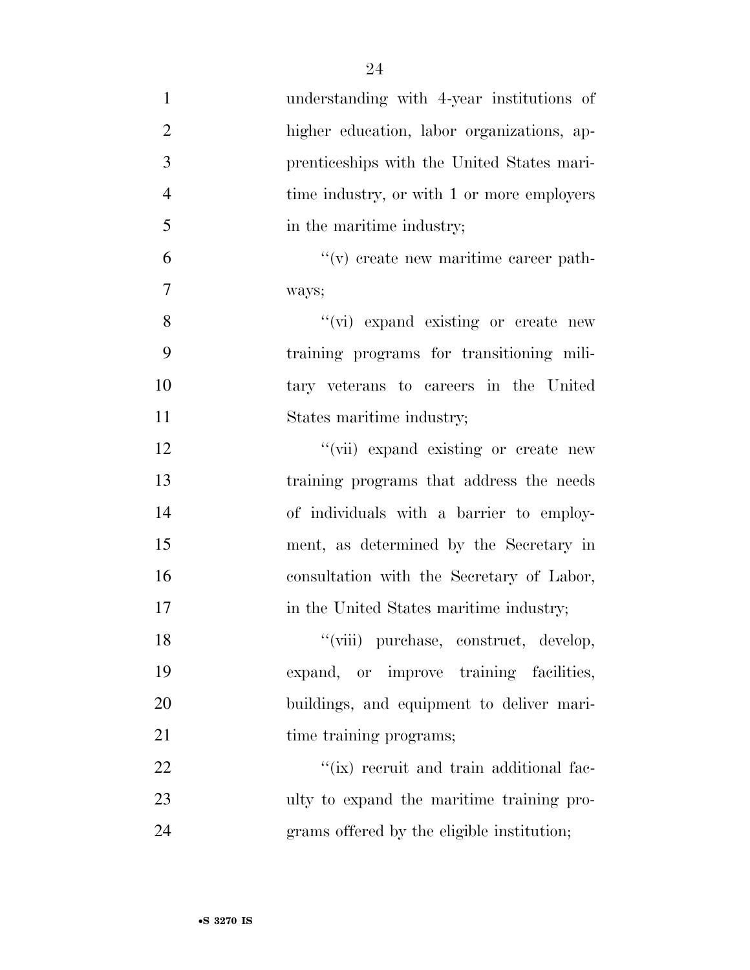| $\mathbf{1}$   | understanding with 4-year institutions of         |
|----------------|---------------------------------------------------|
| $\overline{2}$ | higher education, labor organizations, ap-        |
| 3              | prenticeships with the United States mari-        |
| $\overline{4}$ | time industry, or with 1 or more employers        |
| 5              | in the maritime industry;                         |
| 6              | $\mathcal{C}(v)$ create new maritime career path- |
| $\tau$         | ways;                                             |
| 8              | "(vi) expand existing or create new               |
| 9              | training programs for transitioning mili-         |
| 10             | tary veterans to careers in the United            |
| 11             | States maritime industry;                         |
| 12             | "(vii) expand existing or create new              |
| 13             | training programs that address the needs          |
| 14             | of individuals with a barrier to employ-          |
| 15             | ment, as determined by the Secretary in           |
| 16             | consultation with the Secretary of Labor,         |
| 17             | in the United States maritime industry;           |
| 18             | "(viii) purchase, construct, develop,             |
| 19             | expand, or improve training facilities,           |
| 20             | buildings, and equipment to deliver mari-         |
| 21             | time training programs;                           |
| 22             | "(ix) recruit and train additional fac-           |
| 23             | ulty to expand the maritime training pro-         |
| 24             | grams offered by the eligible institution;        |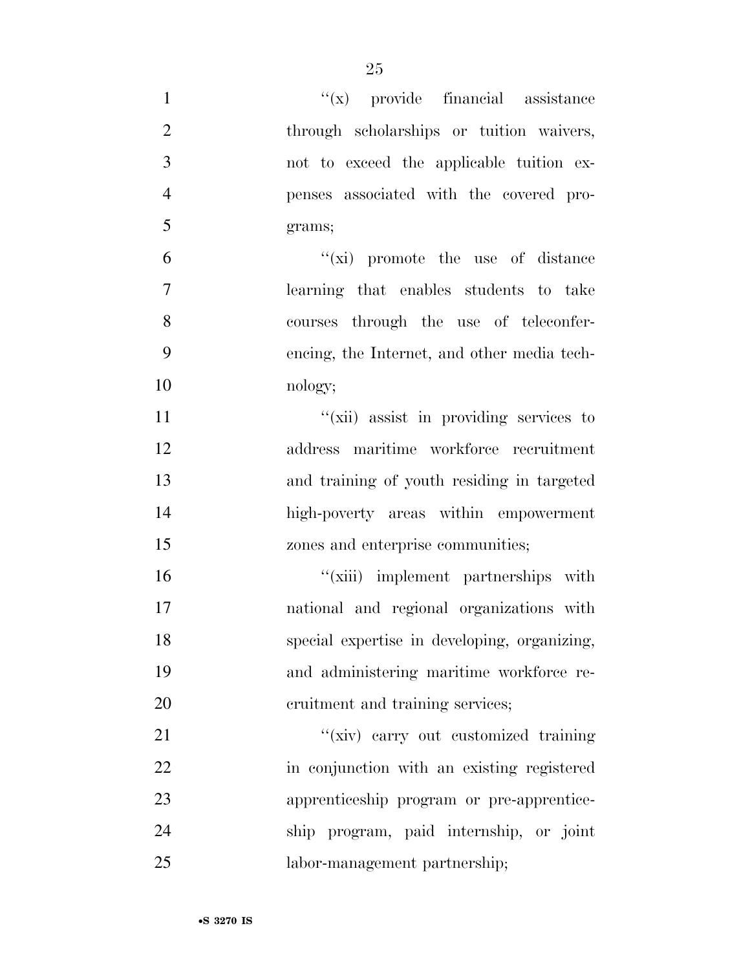| $\mathbf{1}$   | $f(x)$ provide financial assistance          |
|----------------|----------------------------------------------|
| $\mathfrak{2}$ | through scholarships or tuition waivers,     |
| 3              | not to exceed the applicable tuition ex-     |
| $\overline{4}$ | penses associated with the covered pro-      |
| 5              | grams;                                       |
| 6              | $f(x)$ promote the use of distance           |
| $\overline{7}$ | learning that enables students to take       |
| 8              | courses through the use of teleconfer-       |
| 9              | encing, the Internet, and other media tech-  |
| 10             | nology;                                      |
| 11             | "(xii) assist in providing services to       |
| 12             | address maritime workforce recruitment       |
| 13             | and training of youth residing in targeted   |
| 14             | high-poverty areas within empowerment        |
| 15             | zones and enterprise communities;            |
| 16             | "(xiii) implement partnerships with          |
| 17             | national and regional organizations with     |
| 18             | special expertise in developing, organizing, |
| 19             | and administering maritime workforce re-     |
| 20             | cruitment and training services;             |
| 21             | "(xiv) carry out customized training         |
| 22             | in conjunction with an existing registered   |
| 23             | apprenticeship program or pre-apprentice-    |
| 24             | ship program, paid internship, or joint      |
| 25             | labor-management partnership;                |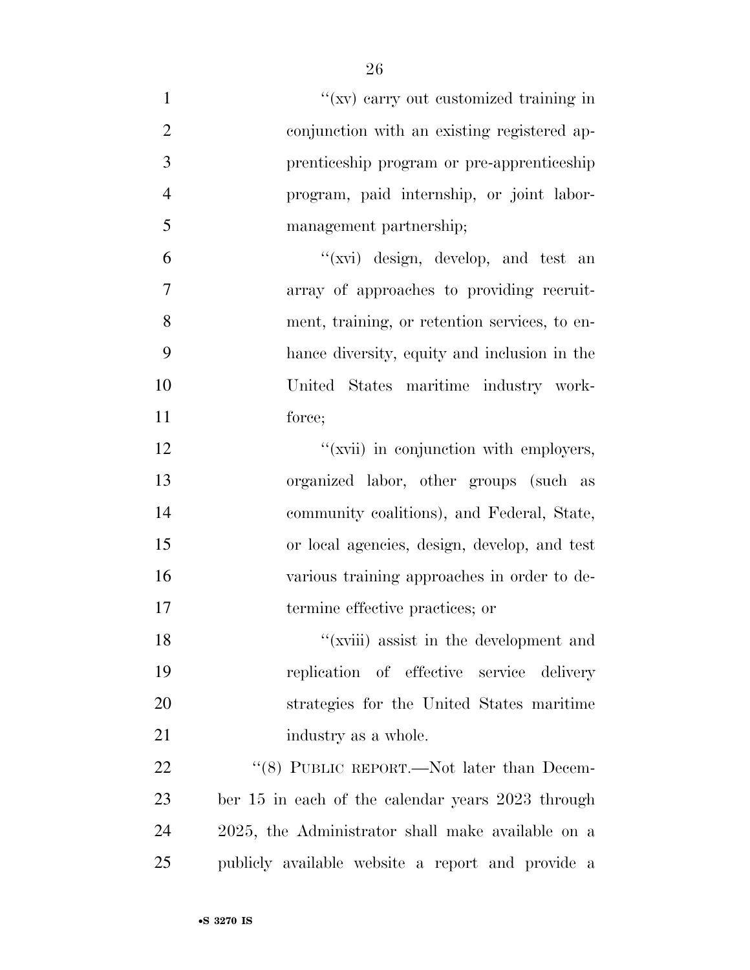| $\mathbf{1}$   | "(xv) carry out customized training in            |
|----------------|---------------------------------------------------|
| $\overline{2}$ | conjunction with an existing registered ap-       |
| 3              | prenticeship program or pre-apprenticeship        |
| $\overline{4}$ | program, paid internship, or joint labor-         |
| 5              | management partnership;                           |
| 6              | "(xvi) design, develop, and test an               |
| 7              | array of approaches to providing recruit-         |
| 8              | ment, training, or retention services, to en-     |
| 9              | hance diversity, equity and inclusion in the      |
| 10             | United States maritime industry work-             |
| 11             | force;                                            |
| 12             | "(xvii) in conjunction with employers,            |
| 13             | organized labor, other groups (such as            |
| 14             | community coalitions), and Federal, State,        |
| 15             | or local agencies, design, develop, and test      |
| 16             | various training approaches in order to de-       |
| 17             | termine effective practices; or                   |
| 18             | "(xviii) assist in the development and            |
| 19             | replication of effective service delivery         |
| 20             | strategies for the United States maritime         |
| 21             | industry as a whole.                              |
| 22             | "(8) PUBLIC REPORT.—Not later than Decem-         |
| 23             | ber 15 in each of the calendar years 2023 through |
| 24             | 2025, the Administrator shall make available on a |
| 25             | publicly available website a report and provide a |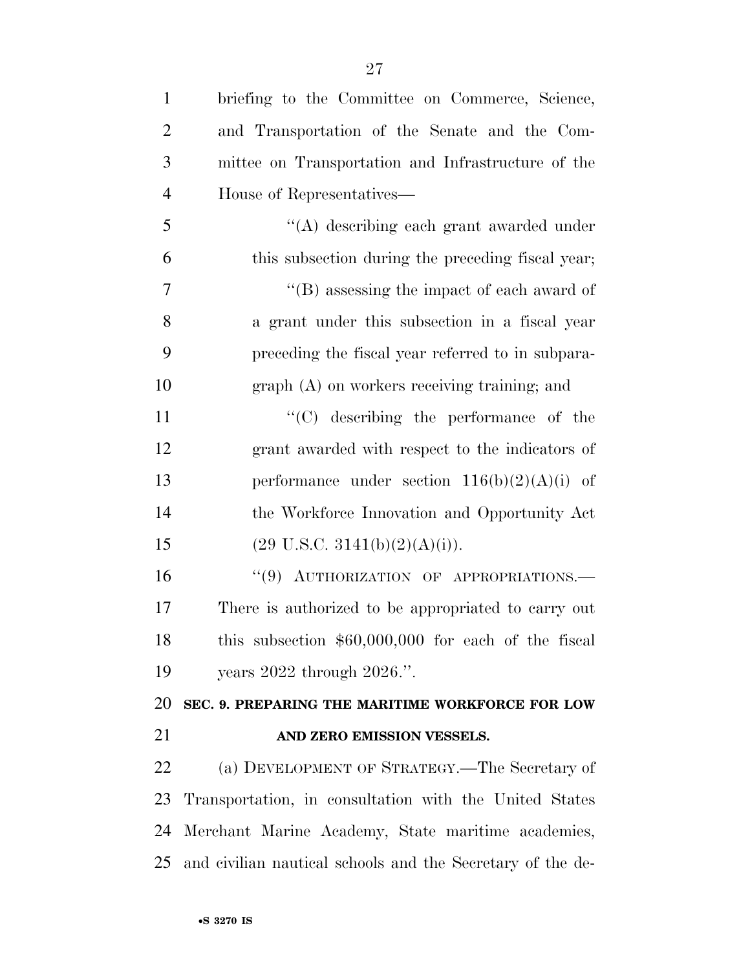| $\mathbf{1}$   | briefing to the Committee on Commerce, Science,            |
|----------------|------------------------------------------------------------|
| $\overline{2}$ | and Transportation of the Senate and the Com-              |
| 3              | mittee on Transportation and Infrastructure of the         |
| $\overline{4}$ | House of Representatives—                                  |
| 5              | $\lq\lq$ describing each grant awarded under               |
| 6              | this subsection during the preceding fiscal year;          |
| 7              | $\lq\lq$ (B) assessing the impact of each award of         |
| 8              | a grant under this subsection in a fiscal year             |
| 9              | preceding the fiscal year referred to in subpara-          |
| 10             | $graph(A)$ on workers receiving training; and              |
| 11             | $\lq\lq$ describing the performance of the                 |
| 12             | grant awarded with respect to the indicators of            |
| 13             | performance under section $116(b)(2)(A)(i)$ of             |
| 14             | the Workforce Innovation and Opportunity Act               |
| 15             | $(29 \text{ U.S.C. } 3141(b)(2)(A)(i)).$                   |
| 16             | "(9) AUTHORIZATION OF APPROPRIATIONS.-                     |
| 17             | There is authorized to be appropriated to carry out        |
| 18             | this subsection $$60,000,000$ for each of the fiscal       |
| 19             | years $2022$ through $2026$ .".                            |
| 20             | SEC. 9. PREPARING THE MARITIME WORKFORCE FOR LOW           |
| 21             | AND ZERO EMISSION VESSELS.                                 |
| 22             | (a) DEVELOPMENT OF STRATEGY.—The Secretary of              |
| 23             | Transportation, in consultation with the United States     |
| 24             | Merchant Marine Academy, State maritime academies,         |
| 25             | and civilian nautical schools and the Secretary of the de- |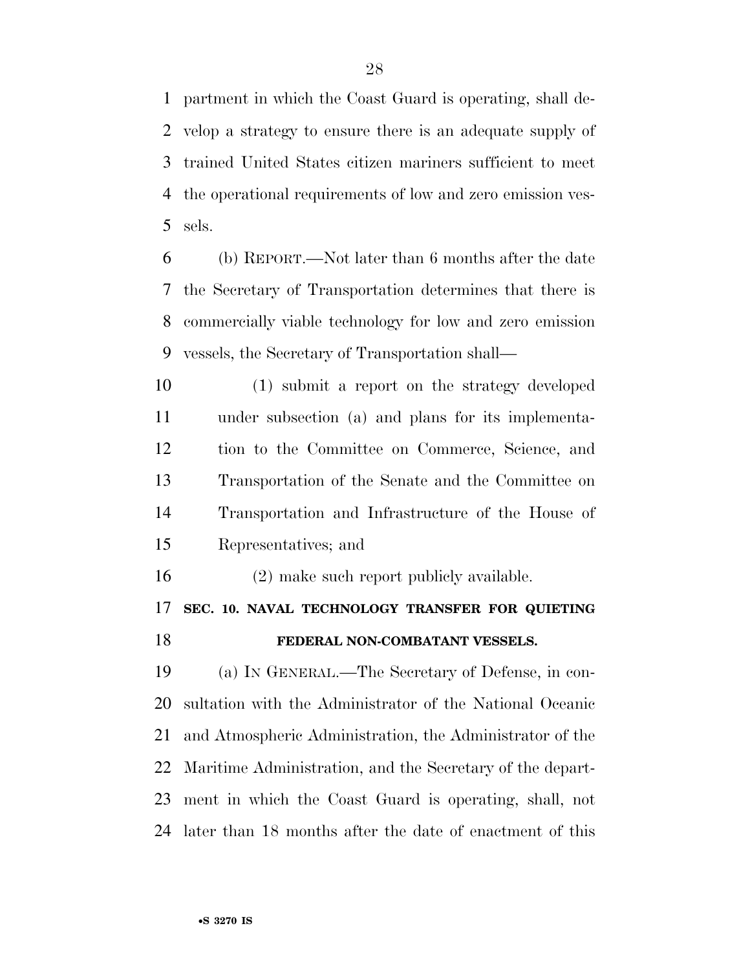partment in which the Coast Guard is operating, shall de- velop a strategy to ensure there is an adequate supply of trained United States citizen mariners sufficient to meet the operational requirements of low and zero emission ves-sels.

 (b) REPORT.—Not later than 6 months after the date the Secretary of Transportation determines that there is commercially viable technology for low and zero emission vessels, the Secretary of Transportation shall—

 (1) submit a report on the strategy developed under subsection (a) and plans for its implementa- tion to the Committee on Commerce, Science, and Transportation of the Senate and the Committee on Transportation and Infrastructure of the House of Representatives; and

(2) make such report publicly available.

### **SEC. 10. NAVAL TECHNOLOGY TRANSFER FOR QUIETING**

#### **FEDERAL NON-COMBATANT VESSELS.**

 (a) IN GENERAL.—The Secretary of Defense, in con- sultation with the Administrator of the National Oceanic and Atmospheric Administration, the Administrator of the Maritime Administration, and the Secretary of the depart- ment in which the Coast Guard is operating, shall, not later than 18 months after the date of enactment of this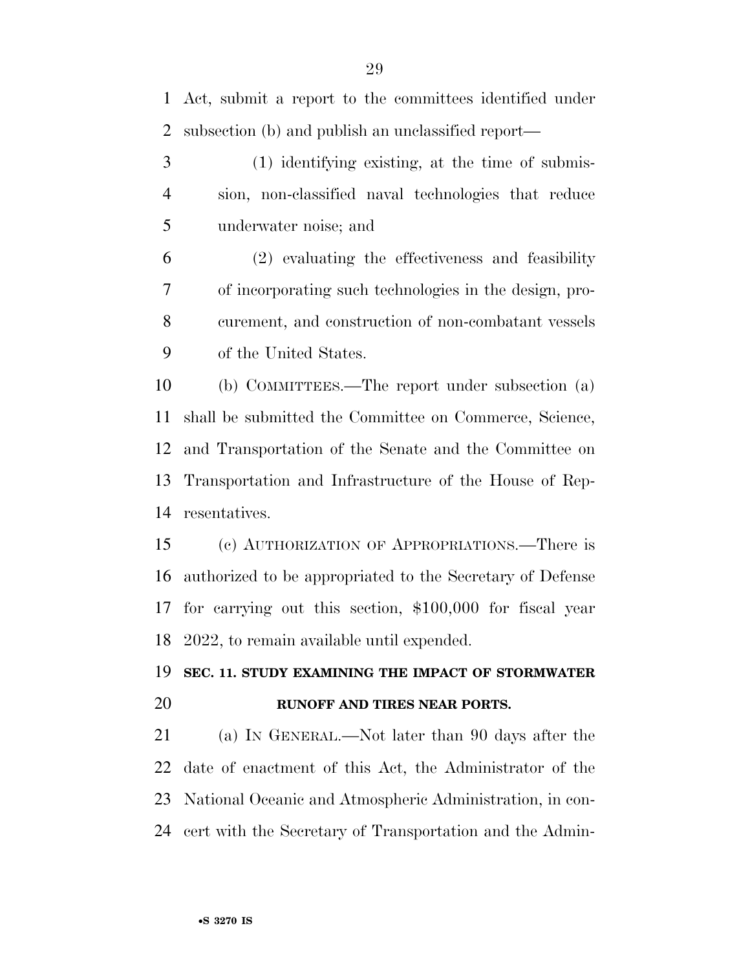Act, submit a report to the committees identified under subsection (b) and publish an unclassified report—

 (1) identifying existing, at the time of submis- sion, non-classified naval technologies that reduce underwater noise; and

 (2) evaluating the effectiveness and feasibility of incorporating such technologies in the design, pro- curement, and construction of non-combatant vessels of the United States.

 (b) COMMITTEES.—The report under subsection (a) shall be submitted the Committee on Commerce, Science, and Transportation of the Senate and the Committee on Transportation and Infrastructure of the House of Rep-resentatives.

 (c) AUTHORIZATION OF APPROPRIATIONS.—There is authorized to be appropriated to the Secretary of Defense for carrying out this section, \$100,000 for fiscal year 2022, to remain available until expended.

## **SEC. 11. STUDY EXAMINING THE IMPACT OF STORMWATER RUNOFF AND TIRES NEAR PORTS.**

 (a) IN GENERAL.—Not later than 90 days after the date of enactment of this Act, the Administrator of the National Oceanic and Atmospheric Administration, in con-cert with the Secretary of Transportation and the Admin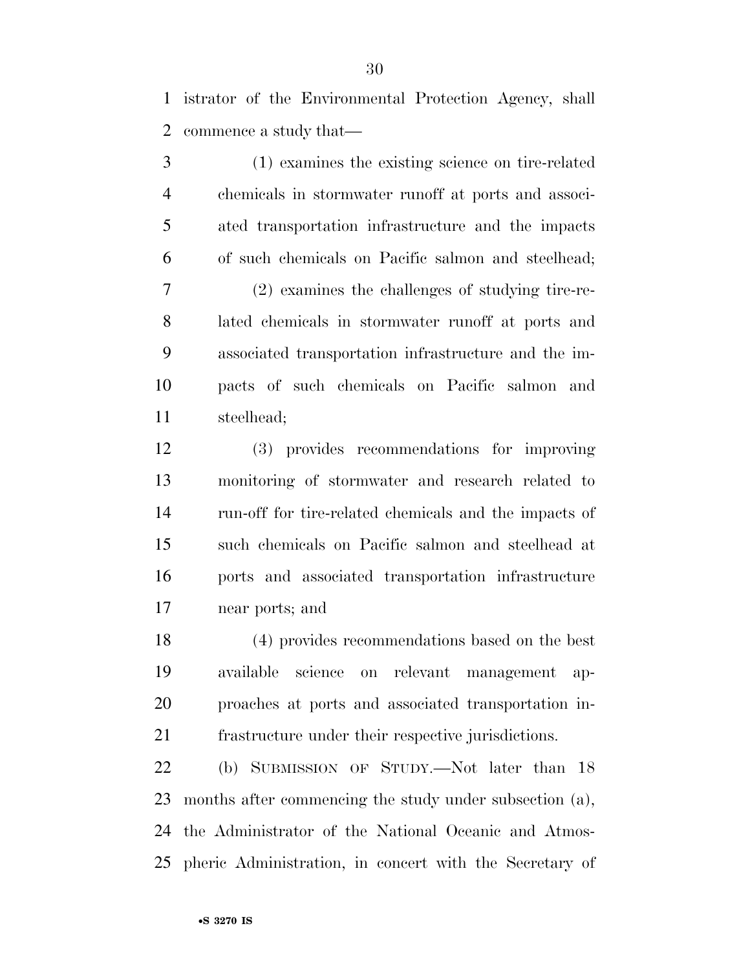istrator of the Environmental Protection Agency, shall commence a study that—

 (1) examines the existing science on tire-related chemicals in stormwater runoff at ports and associ- ated transportation infrastructure and the impacts of such chemicals on Pacific salmon and steelhead; (2) examines the challenges of studying tire-re- lated chemicals in stormwater runoff at ports and associated transportation infrastructure and the im- pacts of such chemicals on Pacific salmon and steelhead;

 (3) provides recommendations for improving monitoring of stormwater and research related to run-off for tire-related chemicals and the impacts of such chemicals on Pacific salmon and steelhead at ports and associated transportation infrastructure near ports; and

 (4) provides recommendations based on the best available science on relevant management ap- proaches at ports and associated transportation in-frastructure under their respective jurisdictions.

 (b) SUBMISSION OF STUDY.—Not later than 18 months after commencing the study under subsection (a), the Administrator of the National Oceanic and Atmos-pheric Administration, in concert with the Secretary of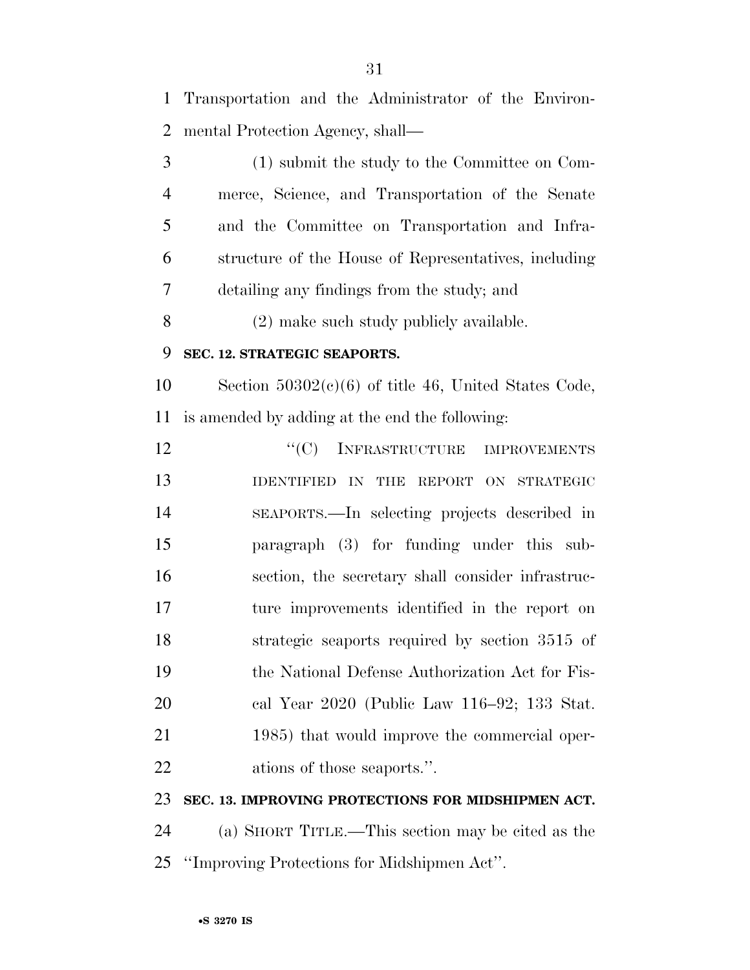Transportation and the Administrator of the Environ- mental Protection Agency, shall— (1) submit the study to the Committee on Com- merce, Science, and Transportation of the Senate and the Committee on Transportation and Infra-structure of the House of Representatives, including

detailing any findings from the study; and

(2) make such study publicly available.

#### **SEC. 12. STRATEGIC SEAPORTS.**

 Section 50302(c)(6) of title 46, United States Code, is amended by adding at the end the following:

12 "'(C) INFRASTRUCTURE IMPROVEMENTS **IDENTIFIED IN THE REPORT ON STRATEGIC**  SEAPORTS.—In selecting projects described in paragraph (3) for funding under this sub- section, the secretary shall consider infrastruc- ture improvements identified in the report on strategic seaports required by section 3515 of the National Defense Authorization Act for Fis- cal Year 2020 (Public Law 116–92; 133 Stat. 21 1985) that would improve the commercial oper-ations of those seaports.''.

#### **SEC. 13. IMPROVING PROTECTIONS FOR MIDSHIPMEN ACT.**

 (a) SHORT TITLE.—This section may be cited as the ''Improving Protections for Midshipmen Act''.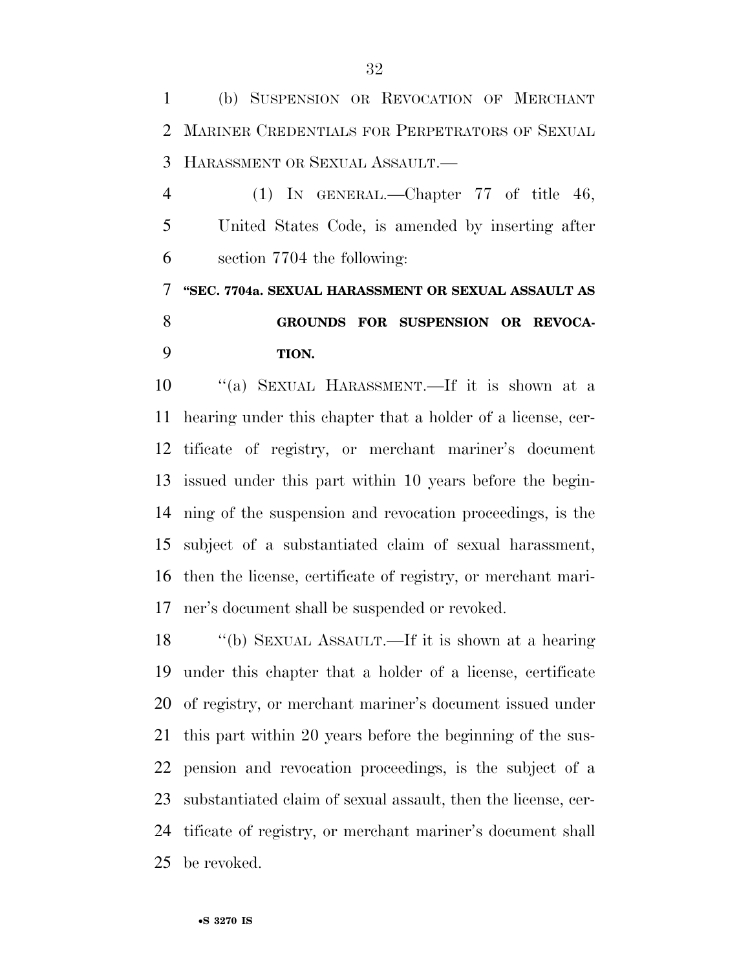(b) SUSPENSION OR REVOCATION OF MERCHANT MARINER CREDENTIALS FOR PERPETRATORS OF SEXUAL HARASSMENT OR SEXUAL ASSAULT.—

 (1) IN GENERAL.—Chapter 77 of title 46, United States Code, is amended by inserting after section 7704 the following:

 **''SEC. 7704a. SEXUAL HARASSMENT OR SEXUAL ASSAULT AS GROUNDS FOR SUSPENSION OR REVOCA-TION.** 

 ''(a) SEXUAL HARASSMENT.—If it is shown at a hearing under this chapter that a holder of a license, cer- tificate of registry, or merchant mariner's document issued under this part within 10 years before the begin- ning of the suspension and revocation proceedings, is the subject of a substantiated claim of sexual harassment, then the license, certificate of registry, or merchant mari-ner's document shall be suspended or revoked.

 ''(b) SEXUAL ASSAULT.—If it is shown at a hearing under this chapter that a holder of a license, certificate of registry, or merchant mariner's document issued under this part within 20 years before the beginning of the sus- pension and revocation proceedings, is the subject of a substantiated claim of sexual assault, then the license, cer- tificate of registry, or merchant mariner's document shall be revoked.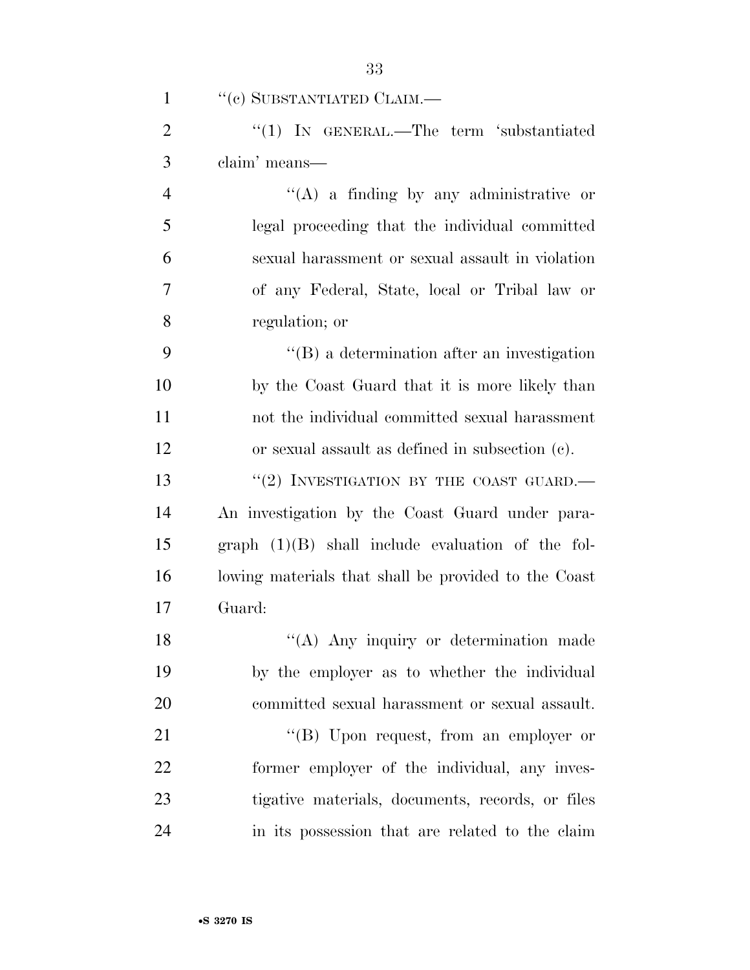| $\mathbf{1}$   | "(c) SUBSTANTIATED CLAIM.—                           |
|----------------|------------------------------------------------------|
| $\overline{2}$ | "(1) IN GENERAL.—The term 'substantiated             |
| 3              | claim' means—                                        |
| $\overline{4}$ | $\lq\lq(A)$ a finding by any administrative or       |
| 5              | legal proceeding that the individual committed       |
| 6              | sexual harassment or sexual assault in violation     |
| 7              | of any Federal, State, local or Tribal law or        |
| 8              | regulation; or                                       |
| 9              | $\lq\lq (B)$ a determination after an investigation  |
| 10             | by the Coast Guard that it is more likely than       |
| 11             | not the individual committed sexual harassment       |
| 12             | or sexual assault as defined in subsection (c).      |
| 13             | "(2) INVESTIGATION BY THE COAST GUARD.—              |
| 14             | An investigation by the Coast Guard under para-      |
| 15             | graph $(1)(B)$ shall include evaluation of the fol-  |
| 16             | lowing materials that shall be provided to the Coast |
| 17             | Guard:                                               |
| 18             | $\lq($ A) Any inquiry or determination made          |
| 19             | by the employer as to whether the individual         |
| 20             | committed sexual harassment or sexual assault.       |
| 21             | $\lq\lq (B)$ Upon request, from an employer or       |
| 22             | former employer of the individual, any inves-        |
| 23             | tigative materials, documents, records, or files     |
| 24             | in its possession that are related to the claim      |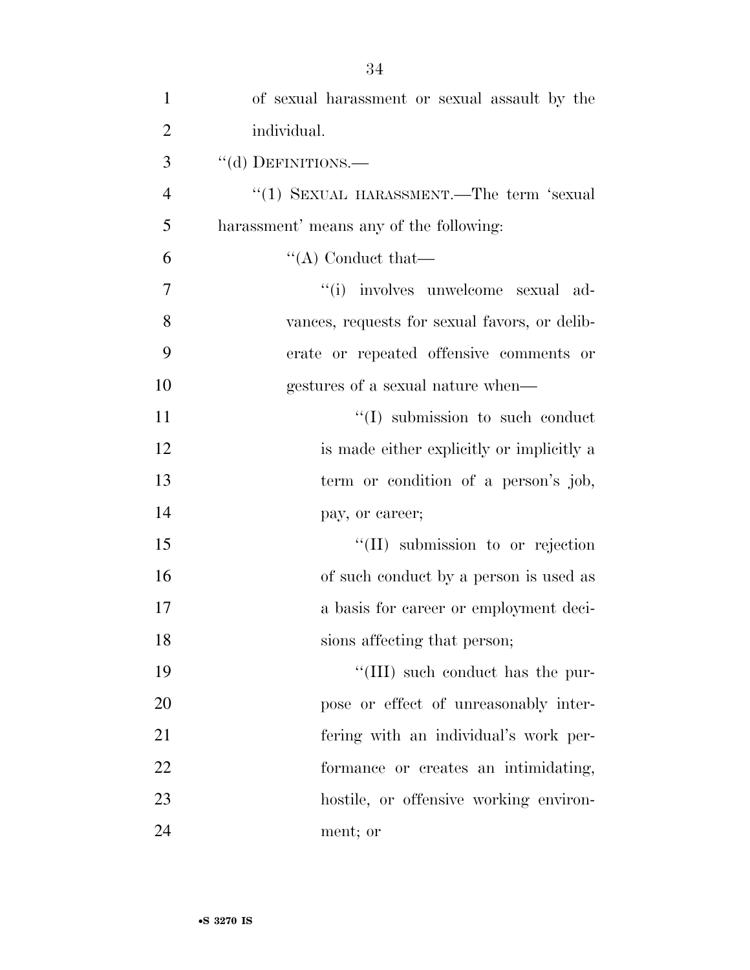| $\mathbf{1}$   | of sexual harassment or sexual assault by the |
|----------------|-----------------------------------------------|
| $\overline{2}$ | individual.                                   |
| 3              | "(d) DEFINITIONS.-                            |
| $\overline{4}$ | "(1) SEXUAL HARASSMENT.—The term 'sexual      |
| 5              | harassment' means any of the following:       |
| 6              | $\lq\lq$ Conduct that—                        |
| 7              | "(i) involves unwelcome sexual ad-            |
| 8              | vances, requests for sexual favors, or delib- |
| 9              | erate or repeated offensive comments or       |
| 10             | gestures of a sexual nature when—             |
| 11             | $\lq\lq$ submission to such conduct           |
| 12             | is made either explicitly or implicitly a     |
| 13             | term or condition of a person's job,          |
| 14             | pay, or career;                               |
| 15             | "(II) submission to or rejection              |
| 16             | of such conduct by a person is used as        |
| 17             | a basis for career or employment deci-        |
| 18             | sions affecting that person;                  |
| 19             | "(III) such conduct has the pur-              |
| 20             | pose or effect of unreasonably inter-         |
| 21             | fering with an individual's work per-         |
| 22             | formance or creates an intimidating,          |
| 23             | hostile, or offensive working environ-        |
| 24             | ment; or                                      |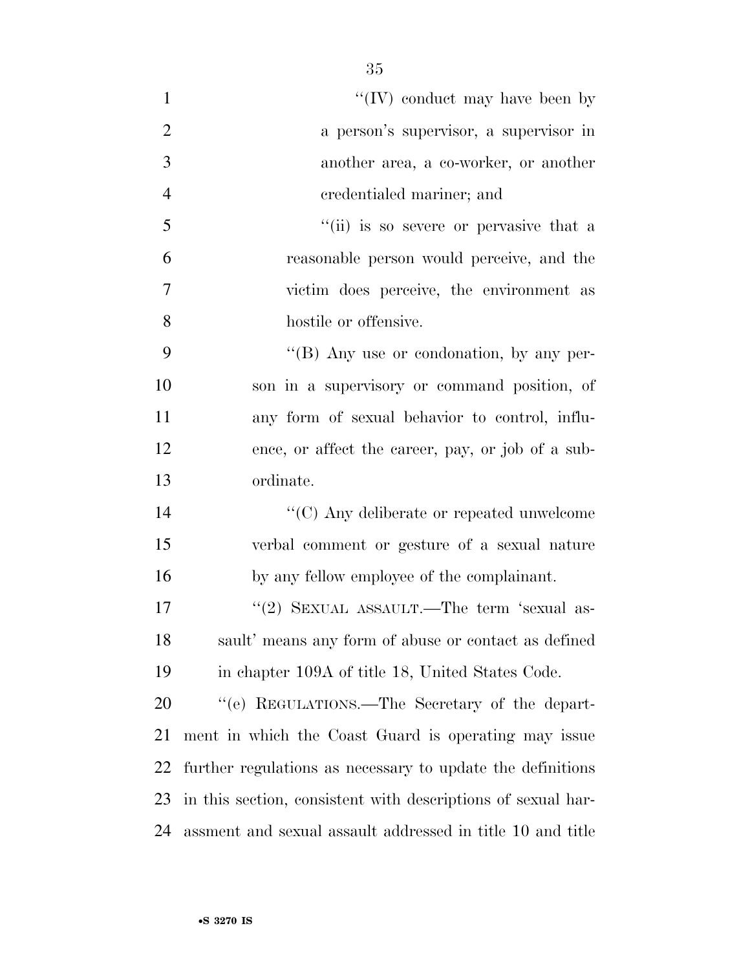| $\mathbf{1}$   | "(IV) conduct may have been by                               |
|----------------|--------------------------------------------------------------|
| $\overline{2}$ | a person's supervisor, a supervisor in                       |
| 3              | another area, a co-worker, or another                        |
| $\overline{4}$ | credentialed mariner; and                                    |
| 5              | "(ii) is so severe or pervasive that a                       |
| 6              | reasonable person would perceive, and the                    |
| $\tau$         | victim does perceive, the environment as                     |
| 8              | hostile or offensive.                                        |
| 9              | $\lq\lq (B)$ Any use or condonation, by any per-             |
| 10             | son in a supervisory or command position, of                 |
| 11             | any form of sexual behavior to control, influ-               |
| 12             | ence, or affect the career, pay, or job of a sub-            |
| 13             | ordinate.                                                    |
| 14             | $\lq\lq$ (C) Any deliberate or repeated unwelcome            |
| 15             | verbal comment or gesture of a sexual nature                 |
| 16             | by any fellow employee of the complainant.                   |
| 17             | "(2) SEXUAL ASSAULT.—The term 'sexual as-                    |
| 18             | sault' means any form of abuse or contact as defined         |
| 19             | in chapter 109A of title 18, United States Code.             |
| 20             | "(e) REGULATIONS.—The Secretary of the depart-               |
| 21             | ment in which the Coast Guard is operating may issue         |
| 22             | further regulations as necessary to update the definitions   |
| 23             | in this section, consistent with descriptions of sexual har- |
| 24             | assment and sexual assault addressed in title 10 and title   |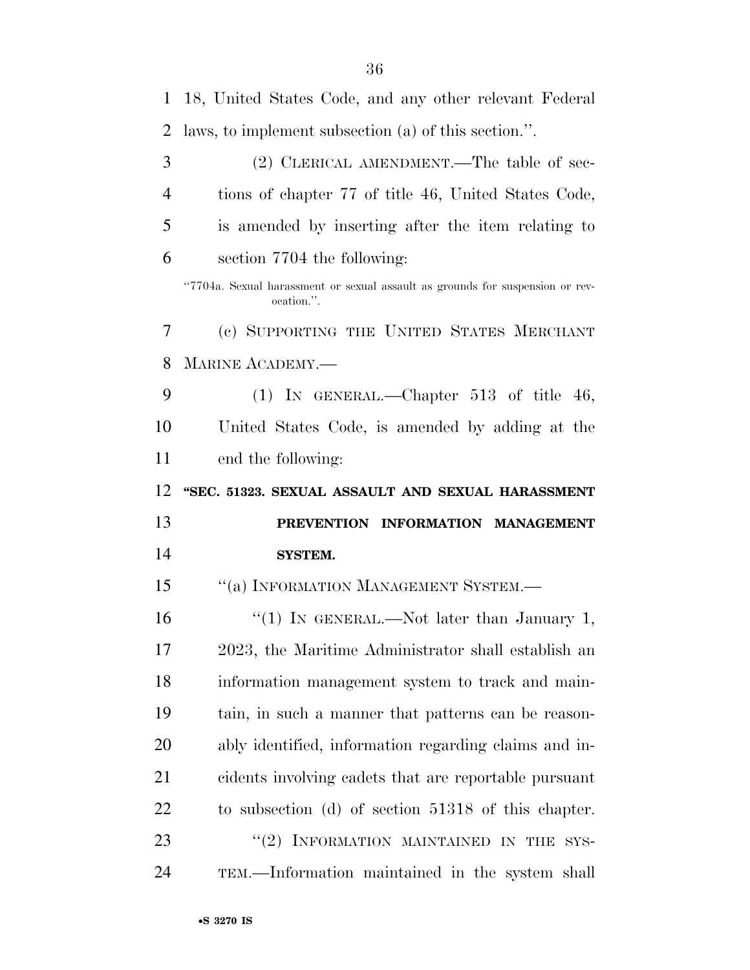| $\mathbf{1}$   | 18, United States Code, and any other relevant Federal                                      |
|----------------|---------------------------------------------------------------------------------------------|
| 2              | laws, to implement subsection (a) of this section.".                                        |
| 3              | (2) CLERICAL AMENDMENT.—The table of sec-                                                   |
| $\overline{4}$ | tions of chapter 77 of title 46, United States Code,                                        |
| 5              | is amended by inserting after the item relating to                                          |
| 6              | section 7704 the following:                                                                 |
|                | "7704a. Sexual harassment or sexual assault as grounds for suspension or rev-<br>ocation.". |
| 7              | (c) SUPPORTING THE UNITED STATES MERCHANT                                                   |
| 8              | <b>MARINE ACADEMY.—</b>                                                                     |
| 9              | (1) IN GENERAL.—Chapter $513$ of title $46$ ,                                               |
| 10             | United States Code, is amended by adding at the                                             |
| 11             | end the following:                                                                          |
|                |                                                                                             |
| 12             | "SEC. 51323. SEXUAL ASSAULT AND SEXUAL HARASSMENT                                           |
| 13             | PREVENTION INFORMATION MANAGEMENT                                                           |
| 14             | <b>SYSTEM.</b>                                                                              |
| 15             | "(a) INFORMATION MANAGEMENT SYSTEM.-                                                        |
| 16             | "(1) IN GENERAL.—Not later than January 1,                                                  |
| 17             | 2023, the Maritime Administrator shall establish an                                         |
| 18             | information management system to track and main-                                            |
| 19             | tain, in such a manner that patterns can be reason-                                         |
| 20             | ably identified, information regarding claims and in-                                       |
| 21             | cidents involving cadets that are reportable pursuant                                       |
| 22             | to subsection (d) of section 51318 of this chapter.                                         |
| 23             | " $(2)$ INFORMATION MAINTAINED IN THE<br>SYS-                                               |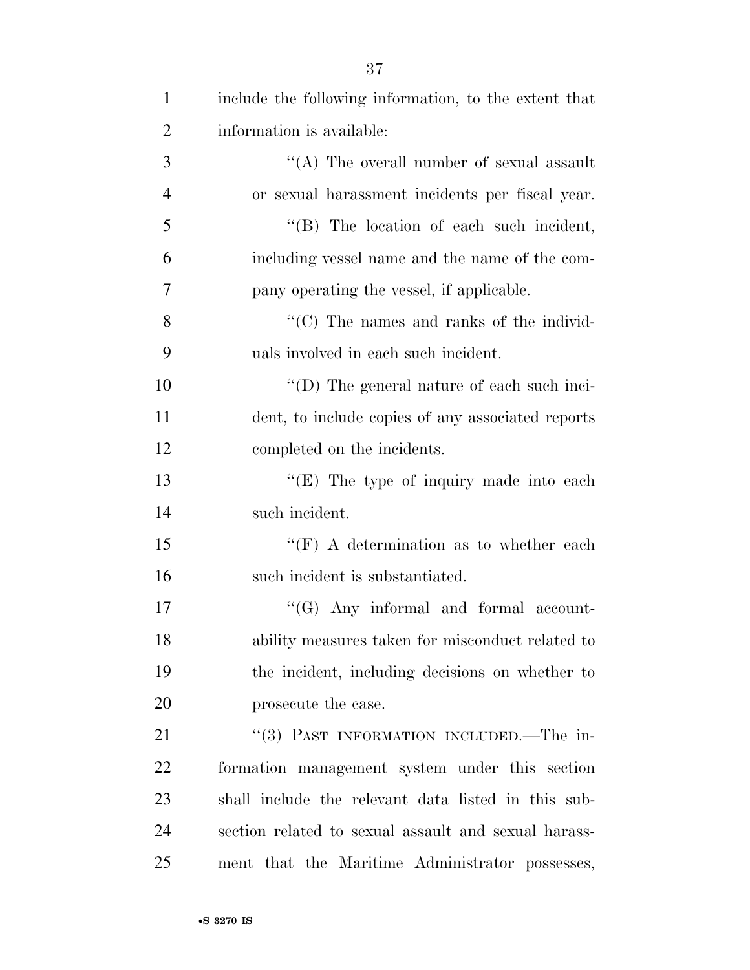| $\mathbf{1}$   | include the following information, to the extent that |
|----------------|-------------------------------------------------------|
| $\overline{2}$ | information is available:                             |
| 3              | "(A) The overall number of sexual assault             |
| $\overline{4}$ | or sexual harassment incidents per fiscal year.       |
| 5              | $\lq\lq$ . The location of each such incident,        |
| 6              | including vessel name and the name of the com-        |
| 7              | pany operating the vessel, if applicable.             |
| 8              | "(C) The names and ranks of the individ-              |
| 9              | uals involved in each such incident.                  |
| 10             | "(D) The general nature of each such inci-            |
| 11             | dent, to include copies of any associated reports     |
| 12             | completed on the incidents.                           |
| 13             | " $(E)$ The type of inquiry made into each            |
| 14             | such incident.                                        |
| 15             | "(F) A determination as to whether each               |
| 16             | such incident is substantiated.                       |
| 17             | $\lq\lq (G)$ Any informal and formal account-         |
| 18             | ability measures taken for misconduct related to      |
| 19             | the incident, including decisions on whether to       |
| 20             | prosecute the case.                                   |
| 21             | "(3) PAST INFORMATION INCLUDED.—The in-               |
| 22             | formation management system under this section        |
| 23             | shall include the relevant data listed in this sub-   |
| 24             | section related to sexual assault and sexual harass-  |
| 25             | ment that the Maritime Administrator possesses,       |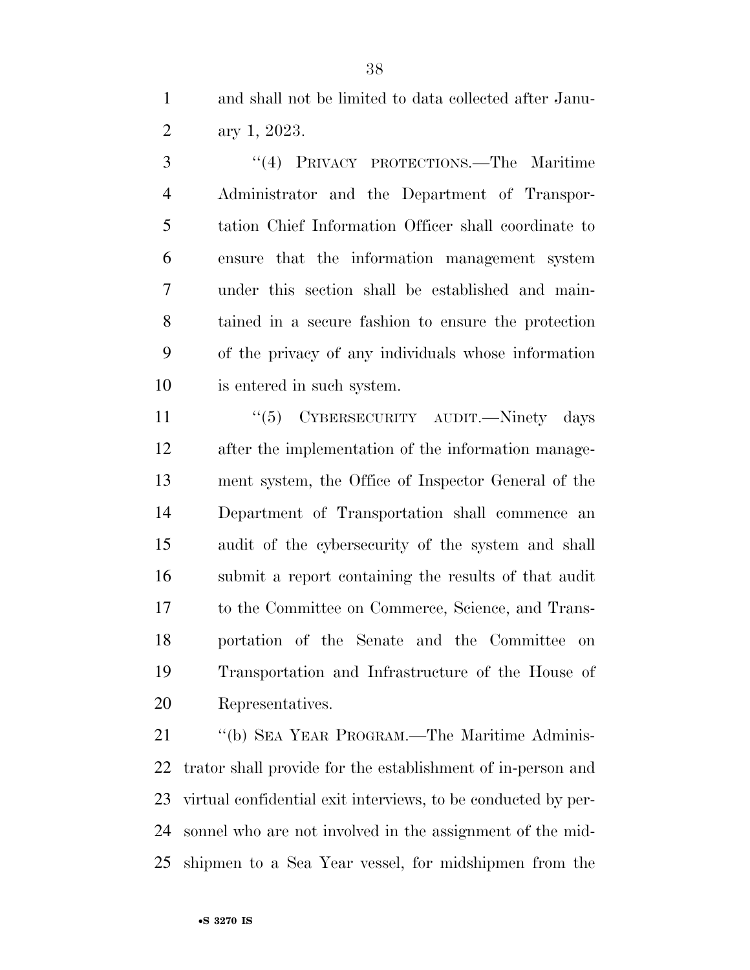and shall not be limited to data collected after Janu-ary 1, 2023.

 ''(4) PRIVACY PROTECTIONS.—The Maritime Administrator and the Department of Transpor- tation Chief Information Officer shall coordinate to ensure that the information management system under this section shall be established and main- tained in a secure fashion to ensure the protection of the privacy of any individuals whose information is entered in such system.

11 "(5) CYBERSECURITY AUDIT.—Ninety days after the implementation of the information manage- ment system, the Office of Inspector General of the Department of Transportation shall commence an audit of the cybersecurity of the system and shall submit a report containing the results of that audit to the Committee on Commerce, Science, and Trans- portation of the Senate and the Committee on Transportation and Infrastructure of the House of Representatives.

 ''(b) SEA YEAR PROGRAM.—The Maritime Adminis- trator shall provide for the establishment of in-person and virtual confidential exit interviews, to be conducted by per- sonnel who are not involved in the assignment of the mid-shipmen to a Sea Year vessel, for midshipmen from the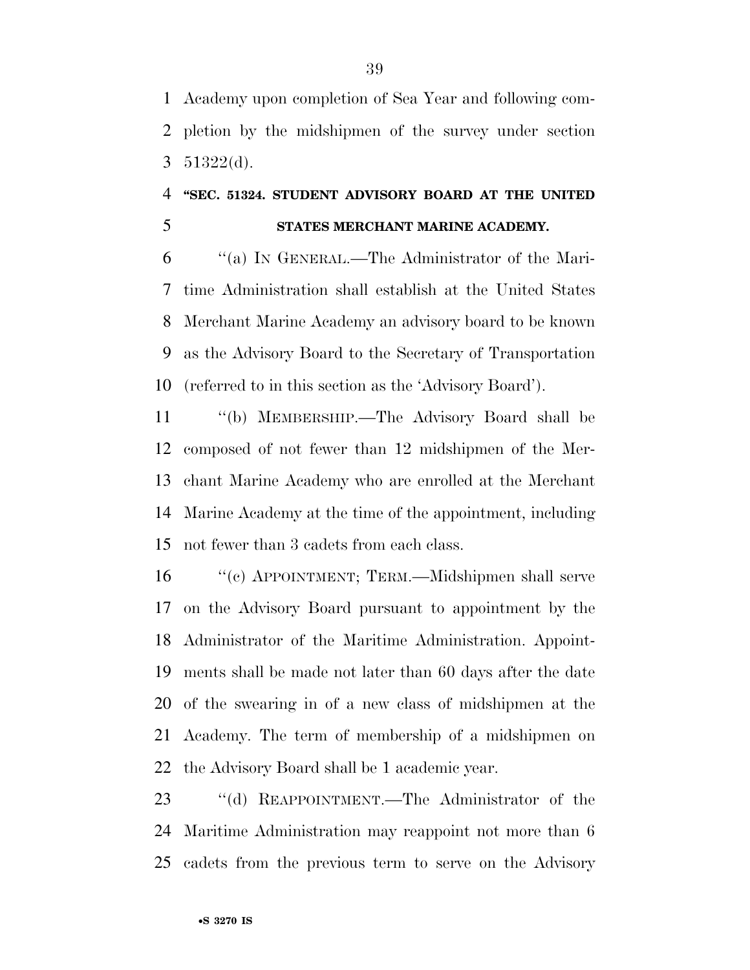Academy upon completion of Sea Year and following com- pletion by the midshipmen of the survey under section 3 (d).

### **''SEC. 51324. STUDENT ADVISORY BOARD AT THE UNITED STATES MERCHANT MARINE ACADEMY.**

 ''(a) IN GENERAL.—The Administrator of the Mari- time Administration shall establish at the United States Merchant Marine Academy an advisory board to be known as the Advisory Board to the Secretary of Transportation (referred to in this section as the 'Advisory Board').

 ''(b) MEMBERSHIP.—The Advisory Board shall be composed of not fewer than 12 midshipmen of the Mer- chant Marine Academy who are enrolled at the Merchant Marine Academy at the time of the appointment, including not fewer than 3 cadets from each class.

 ''(c) APPOINTMENT; TERM.—Midshipmen shall serve on the Advisory Board pursuant to appointment by the Administrator of the Maritime Administration. Appoint- ments shall be made not later than 60 days after the date of the swearing in of a new class of midshipmen at the Academy. The term of membership of a midshipmen on the Advisory Board shall be 1 academic year.

 ''(d) REAPPOINTMENT.—The Administrator of the Maritime Administration may reappoint not more than 6 cadets from the previous term to serve on the Advisory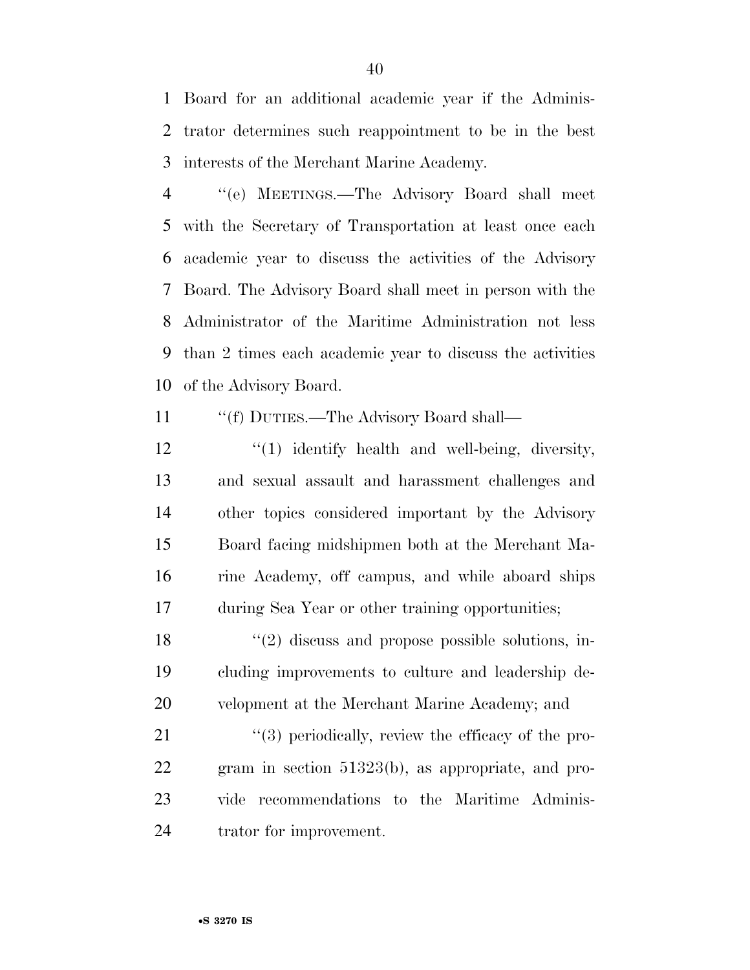Board for an additional academic year if the Adminis- trator determines such reappointment to be in the best interests of the Merchant Marine Academy.

 ''(e) MEETINGS.—The Advisory Board shall meet with the Secretary of Transportation at least once each academic year to discuss the activities of the Advisory Board. The Advisory Board shall meet in person with the Administrator of the Maritime Administration not less than 2 times each academic year to discuss the activities of the Advisory Board.

- 11 ""(f) DUTIES.—The Advisory Board shall—
- 12 ''(1) identify health and well-being, diversity, and sexual assault and harassment challenges and other topics considered important by the Advisory Board facing midshipmen both at the Merchant Ma- rine Academy, off campus, and while aboard ships during Sea Year or other training opportunities;

18 ''(2) discuss and propose possible solutions, in- cluding improvements to culture and leadership de-velopment at the Merchant Marine Academy; and

 $\frac{1}{2}$  (3) periodically, review the efficacy of the pro- gram in section 51323(b), as appropriate, and pro- vide recommendations to the Maritime Adminis-trator for improvement.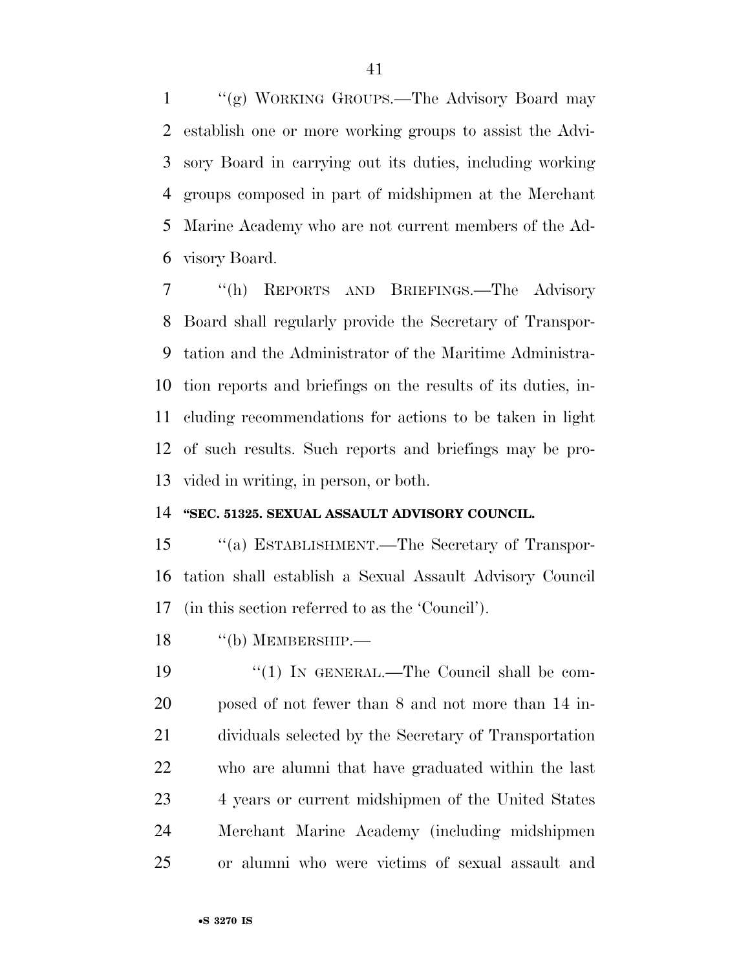''(g) WORKING GROUPS.—The Advisory Board may establish one or more working groups to assist the Advi- sory Board in carrying out its duties, including working groups composed in part of midshipmen at the Merchant Marine Academy who are not current members of the Ad-visory Board.

 ''(h) REPORTS AND BRIEFINGS.—The Advisory Board shall regularly provide the Secretary of Transpor- tation and the Administrator of the Maritime Administra- tion reports and briefings on the results of its duties, in- cluding recommendations for actions to be taken in light of such results. Such reports and briefings may be pro-vided in writing, in person, or both.

#### **''SEC. 51325. SEXUAL ASSAULT ADVISORY COUNCIL.**

 ''(a) ESTABLISHMENT.—The Secretary of Transpor- tation shall establish a Sexual Assault Advisory Council (in this section referred to as the 'Council').

18 "(b) MEMBERSHIP.—

19 "(1) IN GENERAL.—The Council shall be com- posed of not fewer than 8 and not more than 14 in- dividuals selected by the Secretary of Transportation who are alumni that have graduated within the last 23 4 years or current midshipmen of the United States Merchant Marine Academy (including midshipmen or alumni who were victims of sexual assault and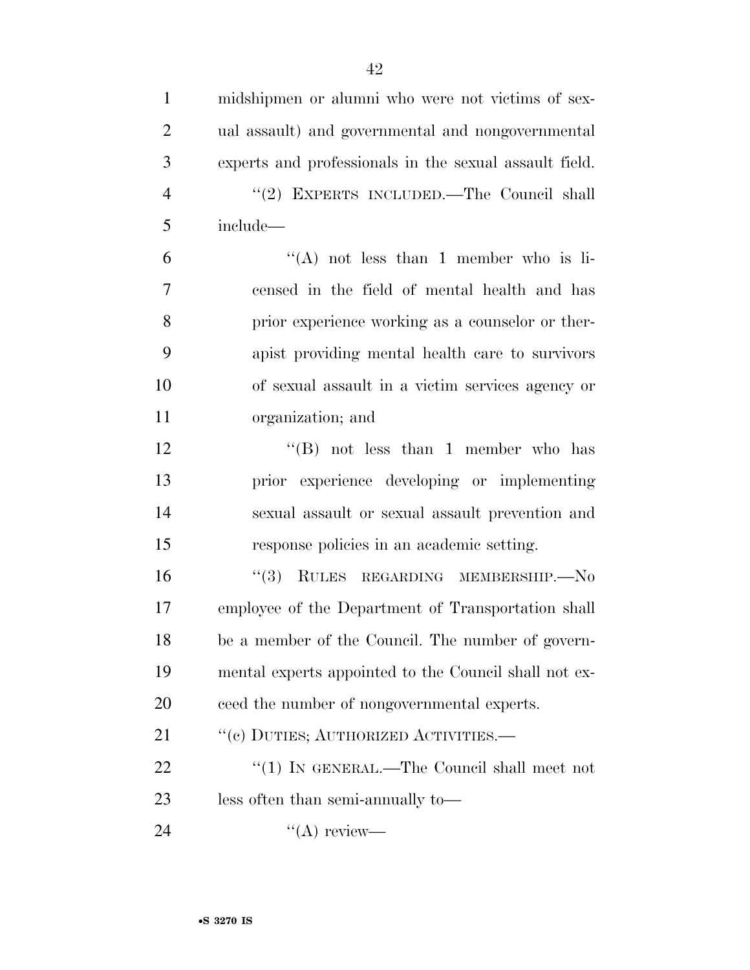| $\mathbf{1}$   | midshipmen or alumni who were not victims of sex-      |
|----------------|--------------------------------------------------------|
| $\overline{2}$ | ual assault) and governmental and nongovernmental      |
| 3              | experts and professionals in the sexual assault field. |
| $\overline{4}$ | "(2) EXPERTS INCLUDED.—The Council shall               |
| 5              | include-                                               |
| 6              | "(A) not less than 1 member who is li-                 |
| 7              | censed in the field of mental health and has           |
| 8              | prior experience working as a counselor or ther-       |
| 9              | apist providing mental health care to survivors        |
| 10             | of sexual assault in a victim services agency or       |
| 11             | organization; and                                      |
| 12             | "(B) not less than 1 member who has                    |
| 13             | prior experience developing or implementing            |
| 14             | sexual assault or sexual assault prevention and        |
| 15             | response policies in an academic setting.              |
| 16             | "(3) RULES REGARDING MEMBERSHIP.-No                    |
| 17             | employee of the Department of Transportation shall     |
| 18             | be a member of the Council. The number of govern-      |
| 19             | mental experts appointed to the Council shall not ex-  |
| <b>20</b>      | ceed the number of nongovernmental experts.            |
| 21             | "(c) DUTIES; AUTHORIZED ACTIVITIES.-                   |
| 22             | "(1) IN GENERAL.—The Council shall meet not            |
| 23             | less often than semi-annually to-                      |
| 24             | $\lq\lq$ review—                                       |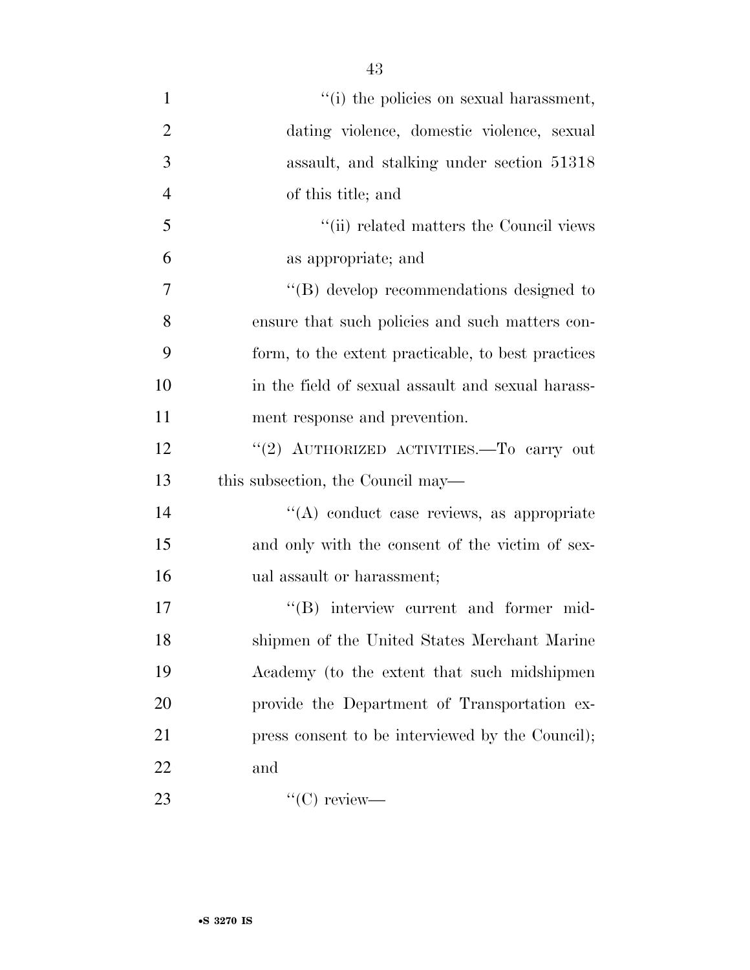| $\mathbf{1}$   | "(i) the policies on sexual harassment,            |
|----------------|----------------------------------------------------|
| $\overline{2}$ | dating violence, domestic violence, sexual         |
| 3              | assault, and stalking under section 51318          |
| $\overline{4}$ | of this title; and                                 |
| 5              | "(ii) related matters the Council views            |
| 6              | as appropriate; and                                |
| 7              | "(B) develop recommendations designed to           |
| 8              | ensure that such policies and such matters con-    |
| 9              | form, to the extent practicable, to best practices |
| 10             | in the field of sexual assault and sexual harass-  |
| 11             | ment response and prevention.                      |
| 12             | "(2) AUTHORIZED ACTIVITIES.-To carry out           |
| 13             | this subsection, the Council may—                  |
| 14             | "(A) conduct case reviews, as appropriate          |
| 15             | and only with the consent of the victim of sex-    |
| 16             | ual assault or harassment;                         |
| 17             | "(B) interview current and former mid-             |
| 18             | shipmen of the United States Merchant Marine       |
| 19             | Academy (to the extent that such midshipmen        |
| 20             | provide the Department of Transportation ex-       |
| 21             | press consent to be interviewed by the Council);   |
| 22             | and                                                |
| 23             | $\lq\lq$ (C) review—                               |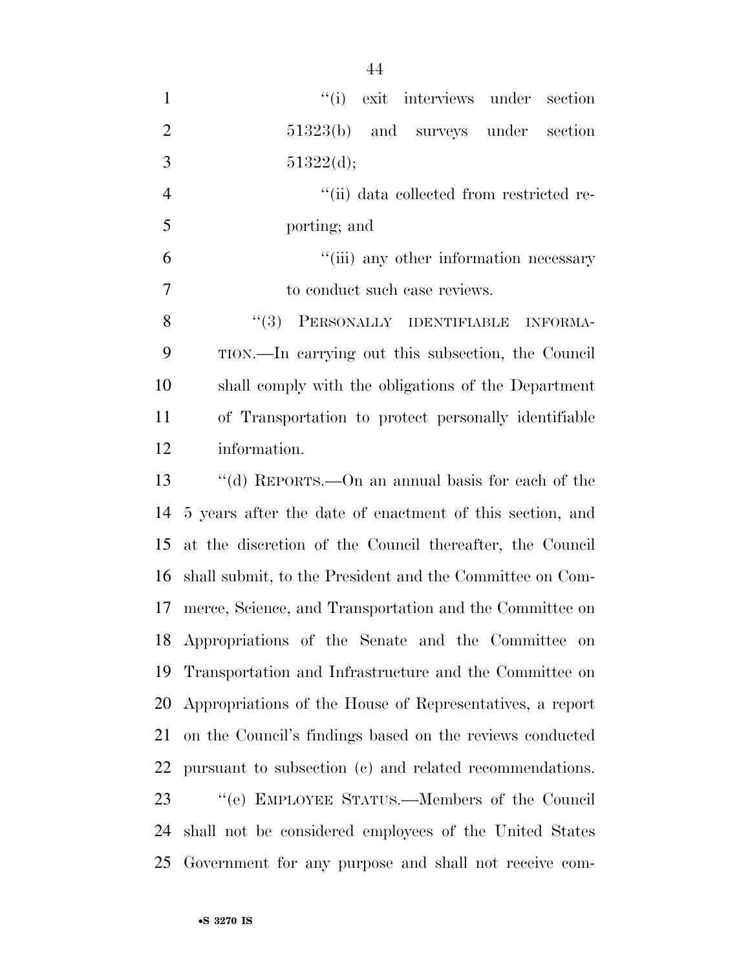| $\mathbf{1}$   | ``(i)<br>exit interviews under section                   |
|----------------|----------------------------------------------------------|
| $\overline{2}$ | 51323(b) and surveys under<br>section                    |
| 3              | 51322(d);                                                |
| $\overline{4}$ | "(ii) data collected from restricted re-                 |
| 5              | porting; and                                             |
| 6              | "(iii) any other information necessary                   |
| 7              | to conduct such case reviews.                            |
| 8              | $``(3)$ PERSONALLY IDENTIFIABLE<br><b>INFORMA-</b>       |
| 9              | TION.—In carrying out this subsection, the Council       |
| 10             | shall comply with the obligations of the Department      |
| 11             | of Transportation to protect personally identifiable     |
| 12             | information.                                             |
| 13             | "(d) REPORTS.—On an annual basis for each of the         |
| 14             | 5 years after the date of enactment of this section, and |
| 15             | at the discretion of the Council thereafter, the Council |
| 16             | shall submit, to the President and the Committee on Com- |
| 17             | merce, Science, and Transportation and the Committee on  |
| 18             | Appropriations of the Senate and the Committee on        |
| 19             | Transportation and Infrastructure and the Committee on   |
| 20             | Appropriations of the House of Representatives, a report |
| 21             | on the Council's findings based on the reviews conducted |
| 22             | pursuant to subsection (c) and related recommendations.  |
| 23             | "(e) EMPLOYEE STATUS.—Members of the Council             |
| 24             | shall not be considered employees of the United States   |
| 25             | Government for any purpose and shall not receive com-    |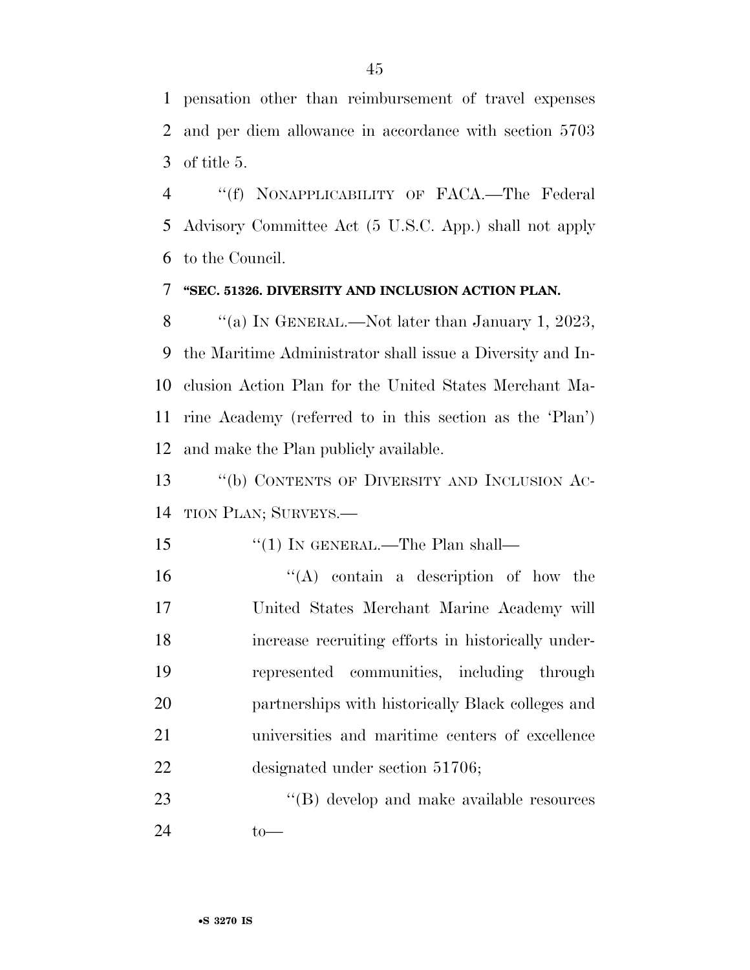pensation other than reimbursement of travel expenses and per diem allowance in accordance with section 5703 of title 5.

 ''(f) NONAPPLICABILITY OF FACA.—The Federal Advisory Committee Act (5 U.S.C. App.) shall not apply to the Council.

#### **''SEC. 51326. DIVERSITY AND INCLUSION ACTION PLAN.**

8 "(a) IN GENERAL.—Not later than January 1, 2023, the Maritime Administrator shall issue a Diversity and In- clusion Action Plan for the United States Merchant Ma- rine Academy (referred to in this section as the 'Plan') and make the Plan publicly available.

13 "(b) CONTENTS OF DIVERSITY AND INCLUSION AC-TION PLAN; SURVEYS.—

- 15 "(1) In GENERAL.—The Plan shall—
- ''(A) contain a description of how the United States Merchant Marine Academy will increase recruiting efforts in historically under- represented communities, including through partnerships with historically Black colleges and universities and maritime centers of excellence designated under section 51706;

23 ''(B) develop and make available resources to—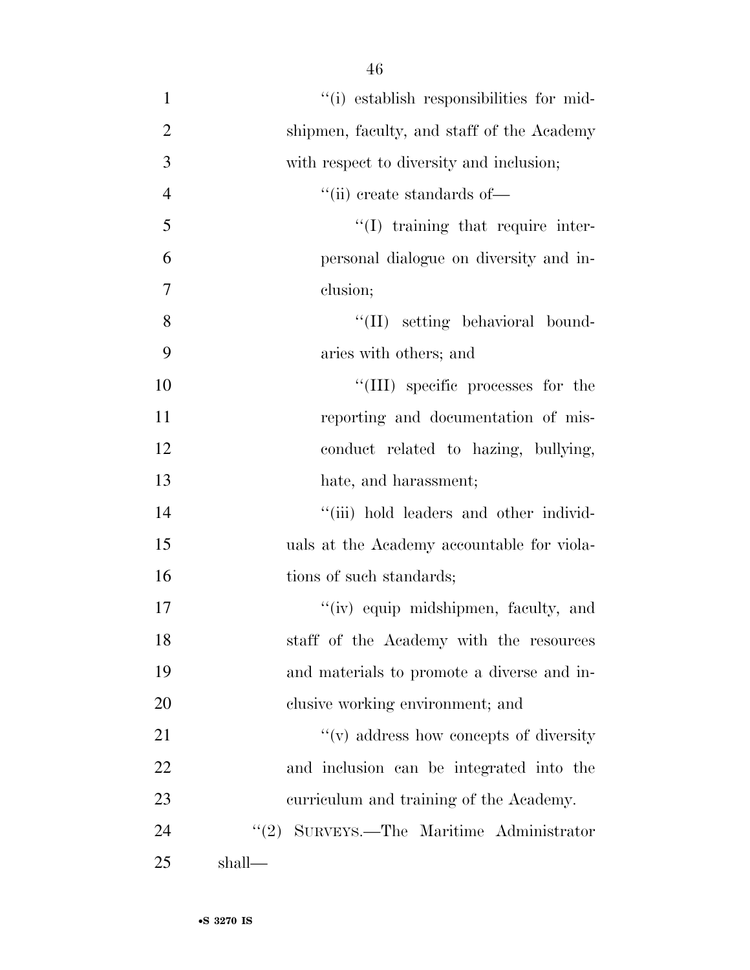| $\mathbf{1}$   | "(i) establish responsibilities for mid-           |
|----------------|----------------------------------------------------|
| $\overline{2}$ | shipmen, faculty, and staff of the Academy         |
| 3              | with respect to diversity and inclusion;           |
| $\overline{4}$ | $``$ (ii) create standards of—                     |
| 5              | $\lq(1)$ training that require inter-              |
| 6              | personal dialogue on diversity and in-             |
| $\overline{7}$ | clusion;                                           |
| 8              | "(II) setting behavioral bound-                    |
| 9              | aries with others; and                             |
| 10             | "(III) specific processes for the                  |
| 11             | reporting and documentation of mis-                |
| 12             | conduct related to hazing, bullying,               |
| 13             | hate, and harassment;                              |
| 14             | "(iii) hold leaders and other individ-             |
| 15             | uals at the Academy accountable for viola-         |
| 16             | tions of such standards;                           |
| 17             | "(iv) equip midshipmen, faculty, and               |
| 18             | staff of the Academy with the resources            |
| 19             | and materials to promote a diverse and in-         |
| 20             | clusive working environment; and                   |
| 21             | $\mathcal{L}(v)$ address how concepts of diversity |
| 22             | and inclusion can be integrated into the           |
| 23             | curriculum and training of the Academy.            |
| 24             | "(2) SURVEYS.—The Maritime Administrator           |
| 25             | shall—                                             |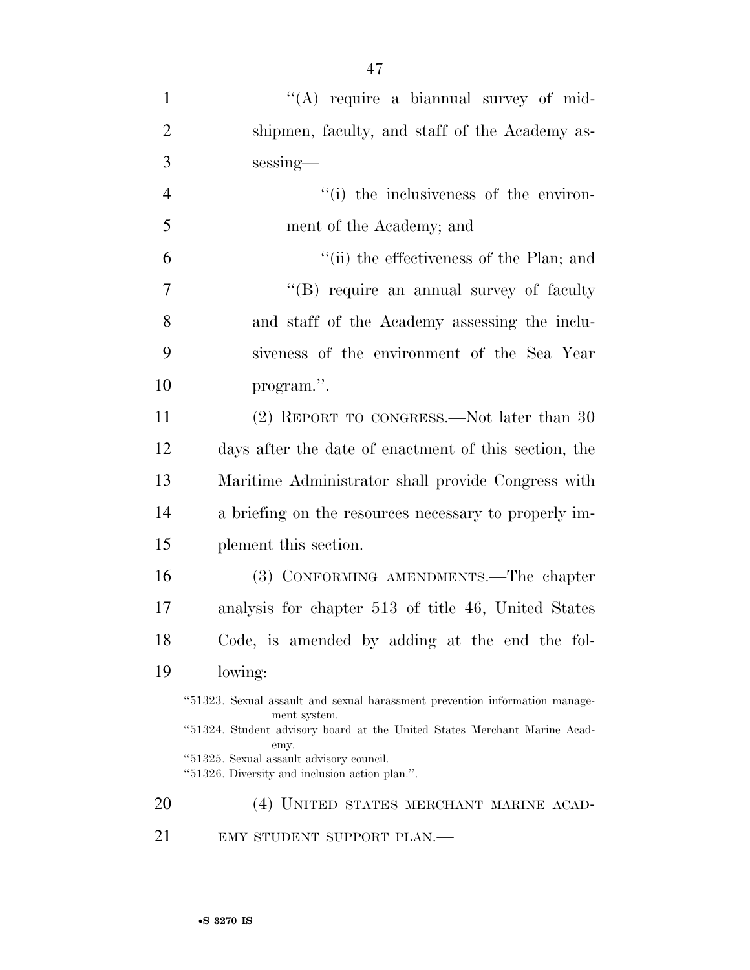| $\mathbf{1}$   | "(A) require a biannual survey of mid-                                                      |
|----------------|---------------------------------------------------------------------------------------------|
| $\overline{2}$ | shipmen, faculty, and staff of the Academy as-                                              |
| 3              | sessing-                                                                                    |
| $\overline{4}$ | "(i) the inclusiveness of the environ-                                                      |
| 5              | ment of the Academy; and                                                                    |
| 6              | "(ii) the effectiveness of the Plan; and                                                    |
| $\overline{7}$ | "(B) require an annual survey of faculty                                                    |
| 8              | and staff of the Academy assessing the inclu-                                               |
| 9              | siveness of the environment of the Sea Year                                                 |
| 10             | program.".                                                                                  |
| 11             | (2) REPORT TO CONGRESS.—Not later than 30                                                   |
| 12             | days after the date of enactment of this section, the                                       |
| 13             | Maritime Administrator shall provide Congress with                                          |
| 14             | a briefing on the resources necessary to properly im-                                       |
| 15             | plement this section.                                                                       |
| 16             | (3) CONFORMING AMENDMENTS.—The chapter                                                      |
| 17             | analysis for chapter 513 of title 46, United States                                         |
| 18             | Code, is amended by adding at the end the fol-                                              |
| 19             | lowing:                                                                                     |
|                | "51323. Sexual assault and sexual harassment prevention information manage-<br>ment system. |
|                | "51324. Student advisory board at the United States Merchant Marine Acad-<br>emy.           |
|                | "51325. Sexual assault advisory council.<br>"51326. Diversity and inclusion action plan.".  |
| 20             | (4) UNITED STATES MERCHANT MARINE ACAD-                                                     |
| 21             | EMY STUDENT SUPPORT PLAN.-                                                                  |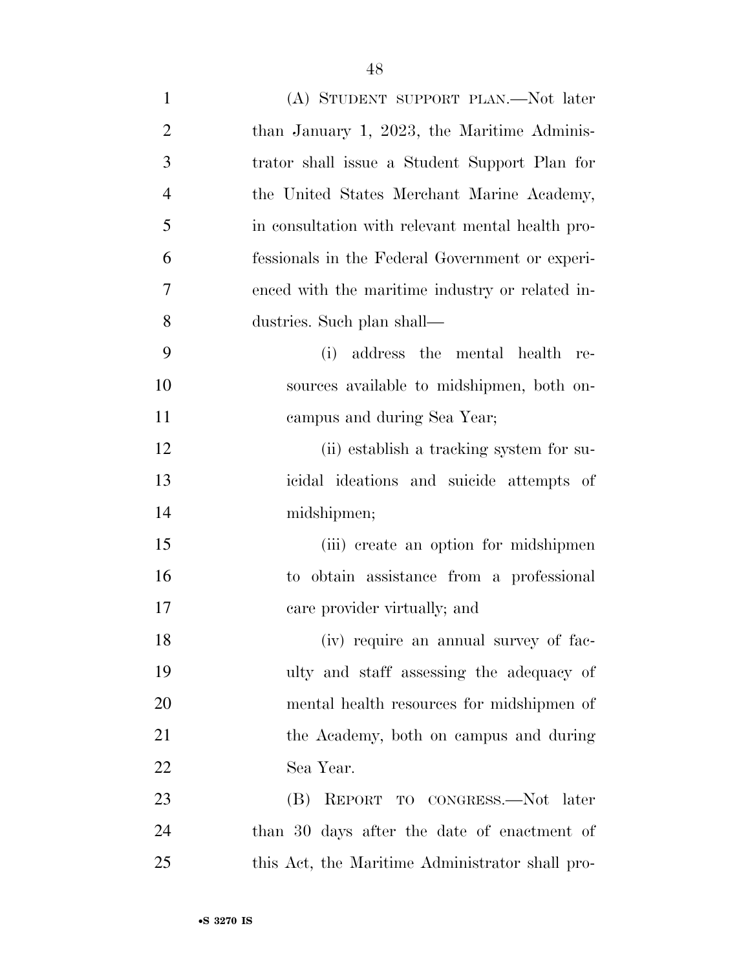| $\mathbf{1}$   | (A) STUDENT SUPPORT PLAN.—Not later              |
|----------------|--------------------------------------------------|
| $\overline{2}$ | than January 1, 2023, the Maritime Adminis-      |
| 3              | trator shall issue a Student Support Plan for    |
| $\overline{4}$ | the United States Merchant Marine Academy,       |
| 5              | in consultation with relevant mental health pro- |
| 6              | fessionals in the Federal Government or experi-  |
| 7              | enced with the maritime industry or related in-  |
| 8              | dustries. Such plan shall—                       |
| 9              | (i)<br>address the mental health re-             |
| 10             | sources available to midshipmen, both on-        |
| 11             | campus and during Sea Year;                      |
| 12             | (ii) establish a tracking system for su-         |
| 13             | icidal ideations and suicide attempts of         |
| 14             | midshipmen;                                      |
| 15             | (iii) create an option for midshipmen            |
| 16             | to obtain assistance from a professional         |
| 17             | care provider virtually; and                     |
| 18             | (iv) require an annual survey of fac-            |
| 19             | ulty and staff assessing the adequacy of         |
| 20             | mental health resources for midshipmen of        |
| 21             | the Academy, both on campus and during           |
| 22             | Sea Year.                                        |
| 23             | (B) REPORT TO CONGRESS.—Not later                |
| 24             | than 30 days after the date of enactment of      |
| 25             | this Act, the Maritime Administrator shall pro-  |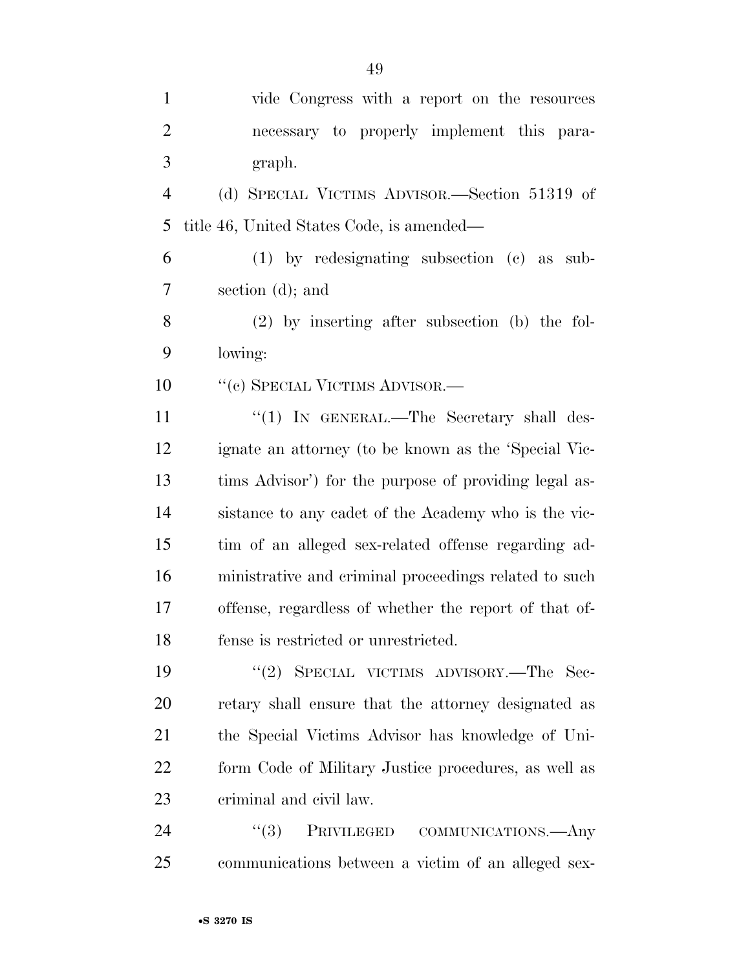| $\mathbf{1}$   | vide Congress with a report on the resources          |
|----------------|-------------------------------------------------------|
| $\overline{2}$ | necessary to properly implement this para-            |
| 3              | graph.                                                |
| $\overline{4}$ | (d) SPECIAL VICTIMS ADVISOR.—Section 51319 of         |
| 5              | title 46, United States Code, is amended—             |
| 6              | $(1)$ by redesignating subsection $(e)$ as<br>sub-    |
| 7              | section $(d)$ ; and                                   |
| 8              | $(2)$ by inserting after subsection (b) the fol-      |
| 9              | lowing:                                               |
| 10             | "(c) SPECIAL VICTIMS ADVISOR.—                        |
| 11             | " $(1)$ IN GENERAL.—The Secretary shall des-          |
| 12             | ignate an attorney (to be known as the 'Special Vic-  |
| 13             | tims Advisor') for the purpose of providing legal as- |
| 14             | sistance to any cadet of the Academy who is the vic-  |
| 15             | tim of an alleged sex-related offense regarding ad-   |
| 16             | ministrative and criminal proceedings related to such |
| 17             | offense, regardless of whether the report of that of- |
| 18             | fense is restricted or unrestricted.                  |
| 19             | "(2) SPECIAL VICTIMS ADVISORY.—The Sec-               |
| 20             | retary shall ensure that the attorney designated as   |
| 21             | the Special Victims Advisor has knowledge of Uni-     |
| 22             | form Code of Military Justice procedures, as well as  |
| 23             | criminal and civil law.                               |
| 24             | PRIVILEGED COMMUNICATIONS.- Any<br>(3)                |
| 25             | communications between a victim of an alleged sex-    |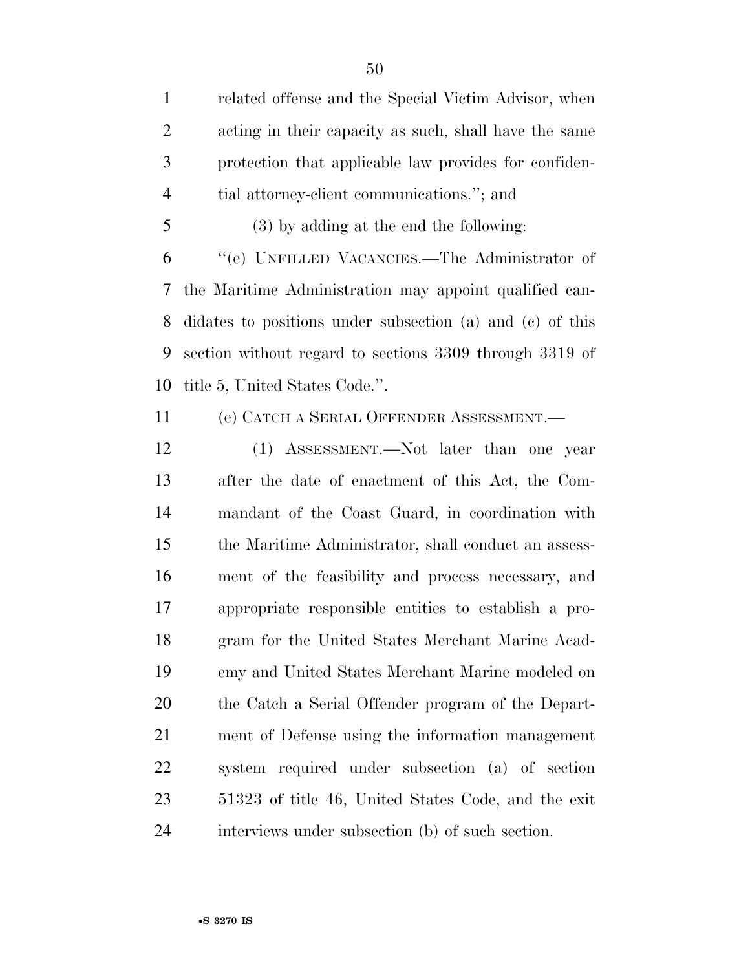related offense and the Special Victim Advisor, when acting in their capacity as such, shall have the same protection that applicable law provides for confiden-tial attorney-client communications.''; and

(3) by adding at the end the following:

 ''(e) UNFILLED VACANCIES.—The Administrator of the Maritime Administration may appoint qualified can- didates to positions under subsection (a) and (c) of this section without regard to sections 3309 through 3319 of title 5, United States Code.''.

(e) CATCH A SERIAL OFFENDER ASSESSMENT.—

 (1) ASSESSMENT.—Not later than one year after the date of enactment of this Act, the Com- mandant of the Coast Guard, in coordination with the Maritime Administrator, shall conduct an assess- ment of the feasibility and process necessary, and appropriate responsible entities to establish a pro- gram for the United States Merchant Marine Acad- emy and United States Merchant Marine modeled on the Catch a Serial Offender program of the Depart- ment of Defense using the information management system required under subsection (a) of section 51323 of title 46, United States Code, and the exit interviews under subsection (b) of such section.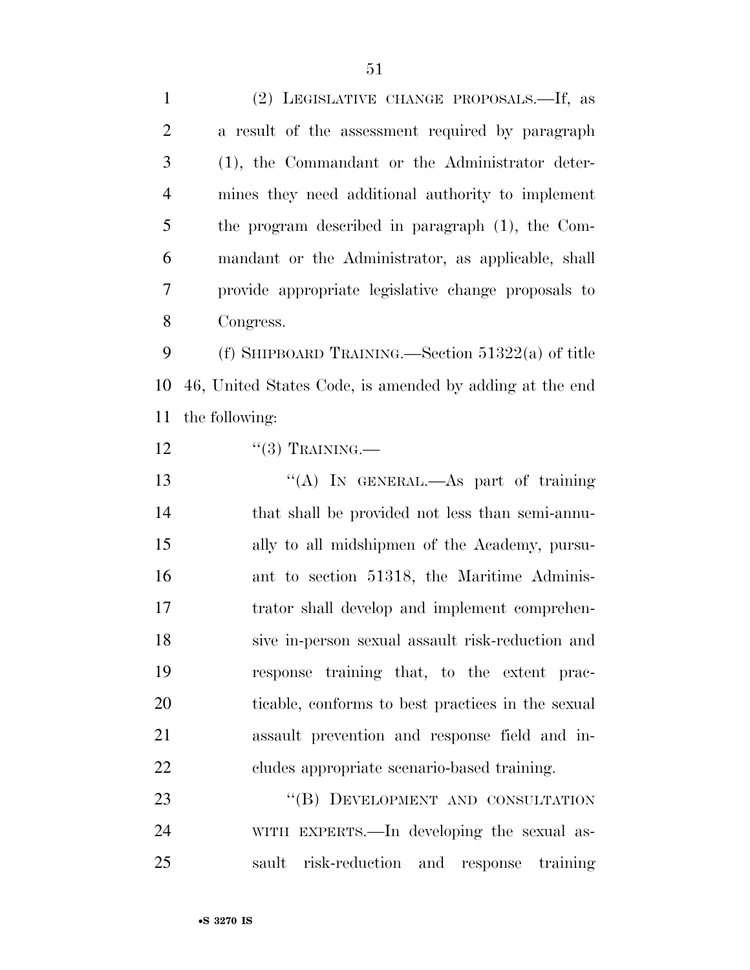| $\mathbf{1}$   | (2) LEGISLATIVE CHANGE PROPOSALS.—If, as                |
|----------------|---------------------------------------------------------|
| $\overline{2}$ | a result of the assessment required by paragraph        |
| 3              | (1), the Commandant or the Administrator deter-         |
| $\overline{4}$ | mines they need additional authority to implement       |
| 5              | the program described in paragraph (1), the Com-        |
| 6              | mandant or the Administrator, as applicable, shall      |
| 7              | provide appropriate legislative change proposals to     |
| 8              | Congress.                                               |
| 9              | (f) SHIPBOARD TRAINING.—Section $51322(a)$ of title     |
| 10             | 46, United States Code, is amended by adding at the end |
| 11             | the following:                                          |
| 12             | $``(3)$ TRAINING.—                                      |
| 13             | "(A) IN GENERAL.—As part of training                    |
| 14             | that shall be provided not less than semi-annu-         |
| 15             | ally to all midshipmen of the Academy, pursu-           |
| 16             | ant to section 51318, the Maritime Adminis-             |
| 17             | trator shall develop and implement comprehen-           |
| 18             | sive in-person sexual assault risk-reduction and        |
| 19             | response training that, to the extent prac-             |
| 20             | ticable, conforms to best practices in the sexual       |
| 21             | assault prevention and response field and in-           |
| 22             | cludes appropriate scenario-based training.             |
| 23             | "(B) DEVELOPMENT AND CONSULTATION                       |
| 24             | WITH EXPERTS.—In developing the sexual as-              |
| 25             | risk-reduction and response training<br>sault           |